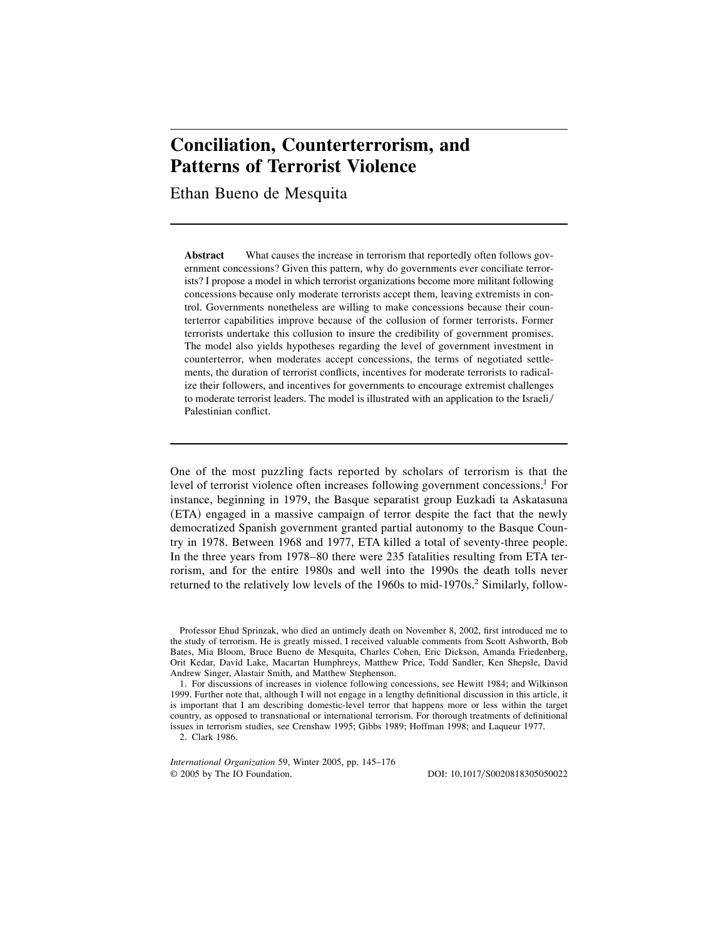# **Conciliation, Counterterrorism, and Patterns of Terrorist Violence**

Ethan Bueno de Mesquita

**Abstract** What causes the increase in terrorism that reportedly often follows government concessions? Given this pattern, why do governments ever conciliate terrorists? I propose a model in which terrorist organizations become more militant following concessions because only moderate terrorists accept them, leaving extremists in control. Governments nonetheless are willing to make concessions because their counterterror capabilities improve because of the collusion of former terrorists+ Former terrorists undertake this collusion to insure the credibility of government promises+ The model also yields hypotheses regarding the level of government investment in counterterror, when moderates accept concessions, the terms of negotiated settlements, the duration of terrorist conflicts, incentives for moderate terrorists to radicalize their followers, and incentives for governments to encourage extremist challenges to moderate terrorist leaders. The model is illustrated with an application to the Israeli/ Palestinian conflict.

One of the most puzzling facts reported by scholars of terrorism is that the level of terrorist violence often increases following government concessions.<sup>1</sup> For instance, beginning in 1979, the Basque separatist group Euzkadi ta Askatasuna (ETA) engaged in a massive campaign of terror despite the fact that the newly democratized Spanish government granted partial autonomy to the Basque Country in 1978. Between 1968 and 1977, ETA killed a total of seventy-three people. In the three years from 1978–80 there were 235 fatalities resulting from ETA terrorism, and for the entire 1980s and well into the 1990s the death tolls never returned to the relatively low levels of the 1960s to mid-1970s.<sup>2</sup> Similarly, follow-

Professor Ehud Sprinzak, who died an untimely death on November 8, 2002, first introduced me to the study of terrorism. He is greatly missed. I received valuable comments from Scott Ashworth, Bob Bates, Mia Bloom, Bruce Bueno de Mesquita, Charles Cohen, Eric Dickson, Amanda Friedenberg, Orit Kedar, David Lake, Macartan Humphreys, Matthew Price, Todd Sandler, Ken Shepsle, David Andrew Singer, Alastair Smith, and Matthew Stephenson+

1. For discussions of increases in violence following concessions, see Hewitt 1984; and Wilkinson 1999. Further note that, although I will not engage in a lengthy definitional discussion in this article, it is important that I am describing domestic-level terror that happens more or less within the target country, as opposed to transnational or international terrorism. For thorough treatments of definitional issues in terrorism studies, see Crenshaw 1995; Gibbs 1989; Hoffman 1998; and Laqueur 1977+

2. Clark 1986.

*International Organization* 59, Winter 2005, pp. 145–176 © 2005 by The IO Foundation.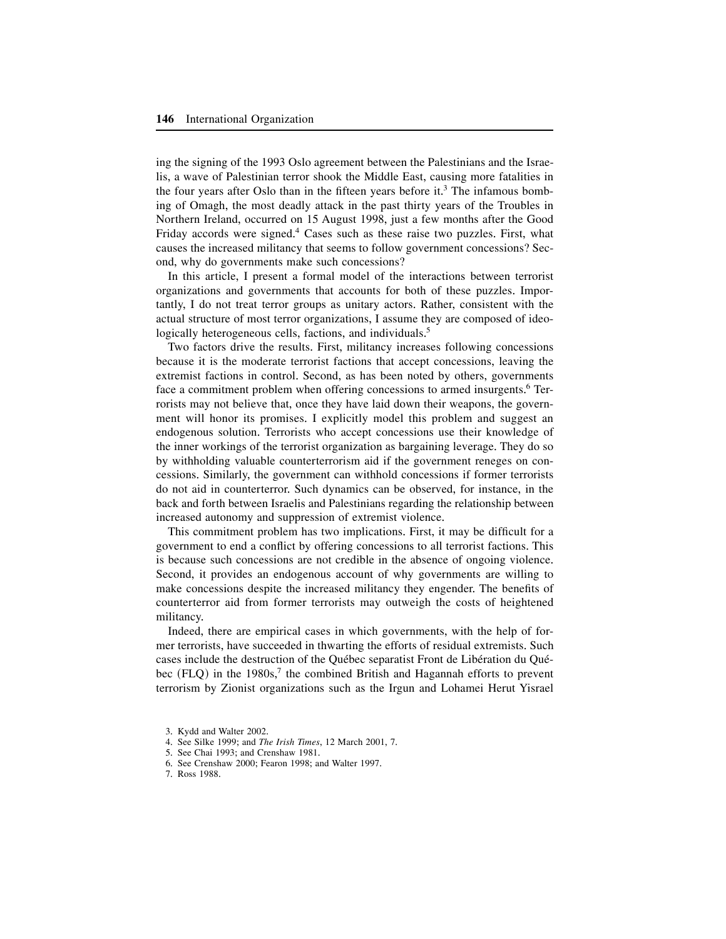ing the signing of the 1993 Oslo agreement between the Palestinians and the Israelis, a wave of Palestinian terror shook the Middle East, causing more fatalities in the four years after Oslo than in the fifteen years before it.<sup>3</sup> The infamous bombing of Omagh, the most deadly attack in the past thirty years of the Troubles in Northern Ireland, occurred on 15 August 1998, just a few months after the Good Friday accords were signed.<sup>4</sup> Cases such as these raise two puzzles. First, what causes the increased militancy that seems to follow government concessions? Second, why do governments make such concessions?

In this article, I present a formal model of the interactions between terrorist organizations and governments that accounts for both of these puzzles. Importantly, I do not treat terror groups as unitary actors+ Rather, consistent with the actual structure of most terror organizations, I assume they are composed of ideologically heterogeneous cells, factions, and individuals.<sup>5</sup>

Two factors drive the results. First, militancy increases following concessions because it is the moderate terrorist factions that accept concessions, leaving the extremist factions in control. Second, as has been noted by others, governments face a commitment problem when offering concessions to armed insurgents.<sup>6</sup> Terrorists may not believe that, once they have laid down their weapons, the government will honor its promises. I explicitly model this problem and suggest an endogenous solution. Terrorists who accept concessions use their knowledge of the inner workings of the terrorist organization as bargaining leverage. They do so by withholding valuable counterterrorism aid if the government reneges on concessions. Similarly, the government can withhold concessions if former terrorists do not aid in counterterror+ Such dynamics can be observed, for instance, in the back and forth between Israelis and Palestinians regarding the relationship between increased autonomy and suppression of extremist violence.

This commitment problem has two implications. First, it may be difficult for a government to end a conflict by offering concessions to all terrorist factions. This is because such concessions are not credible in the absence of ongoing violence. Second, it provides an endogenous account of why governments are willing to make concessions despite the increased militancy they engender. The benefits of counterterror aid from former terrorists may outweigh the costs of heightened militancy.

Indeed, there are empirical cases in which governments, with the help of former terrorists, have succeeded in thwarting the efforts of residual extremists. Such cases include the destruction of the Québec separatist Front de Libération du Québec  $(FLQ)$  in the 1980s,<sup>7</sup> the combined British and Hagannah efforts to prevent terrorism by Zionist organizations such as the Irgun and Lohamei Herut Yisrael

- 6. See Crenshaw 2000; Fearon 1998; and Walter 1997.
- 7. Ross 1988.

<sup>3.</sup> Kydd and Walter 2002.

<sup>4</sup>+ See Silke 1999; and *The Irish Times*, 12 March 2001, 7+

<sup>5.</sup> See Chai 1993; and Crenshaw 1981.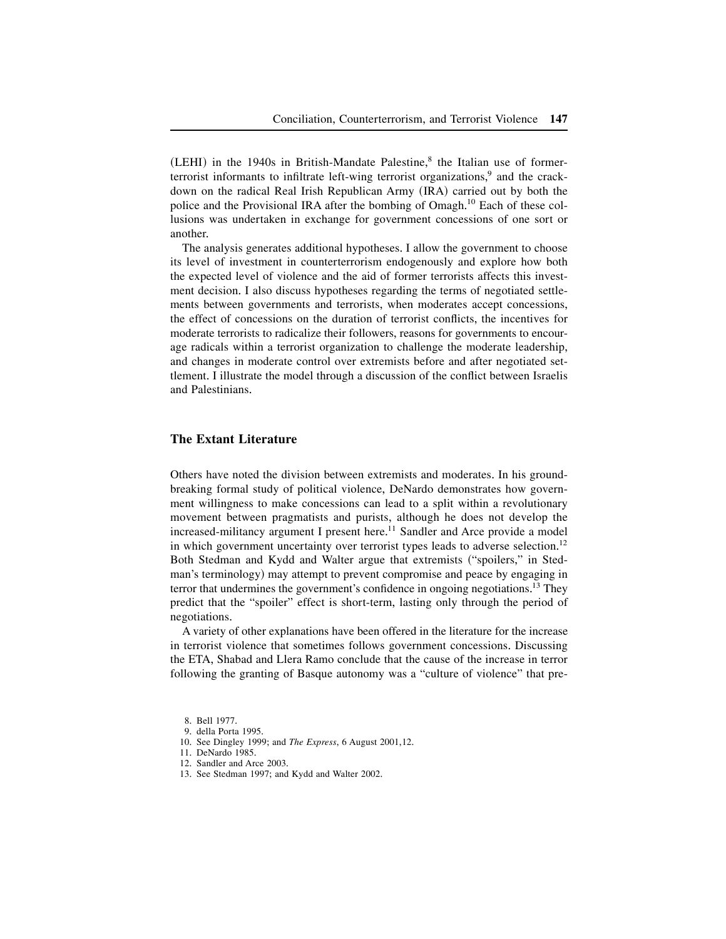$(LEHI)$  in the 1940s in British-Mandate Palestine,<sup>8</sup> the Italian use of formerterrorist informants to infiltrate left-wing terrorist organizations, <sup>9</sup> and the crackdown on the radical Real Irish Republican Army (IRA) carried out by both the police and the Provisional IRA after the bombing of Omagh.<sup>10</sup> Each of these collusions was undertaken in exchange for government concessions of one sort or another.

The analysis generates additional hypotheses. I allow the government to choose its level of investment in counterterrorism endogenously and explore how both the expected level of violence and the aid of former terrorists affects this investment decision. I also discuss hypotheses regarding the terms of negotiated settlements between governments and terrorists, when moderates accept concessions, the effect of concessions on the duration of terrorist conflicts, the incentives for moderate terrorists to radicalize their followers, reasons for governments to encourage radicals within a terrorist organization to challenge the moderate leadership, and changes in moderate control over extremists before and after negotiated settlement. I illustrate the model through a discussion of the conflict between Israelis and Palestinians.

# **The Extant Literature**

Others have noted the division between extremists and moderates. In his groundbreaking formal study of political violence, DeNardo demonstrates how government willingness to make concessions can lead to a split within a revolutionary movement between pragmatists and purists, although he does not develop the increased-militancy argument I present here.<sup>11</sup> Sandler and Arce provide a model in which government uncertainty over terrorist types leads to adverse selection.<sup>12</sup> Both Stedman and Kydd and Walter argue that extremists ("spoilers," in Stedman's terminology) may attempt to prevent compromise and peace by engaging in terror that undermines the government's confidence in ongoing negotiations.<sup>13</sup> They predict that the "spoiler" effect is short-term, lasting only through the period of negotiations.

A variety of other explanations have been offered in the literature for the increase in terrorist violence that sometimes follows government concessions. Discussing the ETA, Shabad and Llera Ramo conclude that the cause of the increase in terror following the granting of Basque autonomy was a "culture of violence" that pre-

- 10. See Dingley 1999; and *The Express*, 6 August 2001,12.
- 11. DeNardo 1985.
- 12. Sandler and Arce 2003.

<sup>8.</sup> Bell 1977.

<sup>9.</sup> della Porta 1995.

<sup>13.</sup> See Stedman 1997; and Kydd and Walter 2002.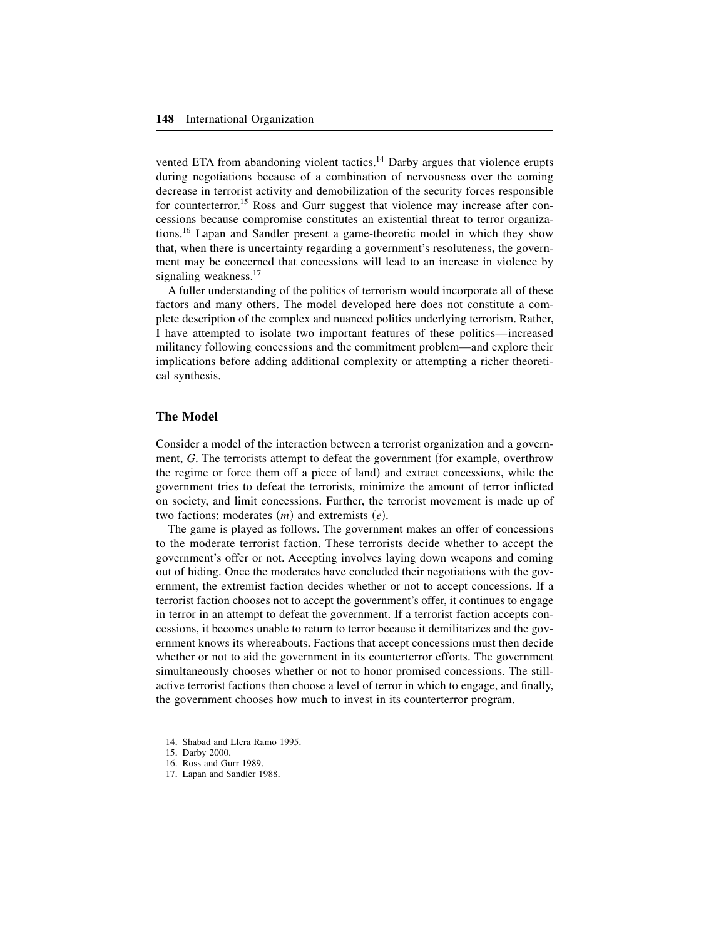vented ETA from abandoning violent tactics.<sup>14</sup> Darby argues that violence erupts during negotiations because of a combination of nervousness over the coming decrease in terrorist activity and demobilization of the security forces responsible for counterterror.<sup>15</sup> Ross and Gurr suggest that violence may increase after concessions because compromise constitutes an existential threat to terror organizations.<sup>16</sup> Lapan and Sandler present a game-theoretic model in which they show that, when there is uncertainty regarding a government's resoluteness, the government may be concerned that concessions will lead to an increase in violence by signaling weakness.<sup>17</sup>

A fuller understanding of the politics of terrorism would incorporate all of these factors and many others. The model developed here does not constitute a complete description of the complex and nuanced politics underlying terrorism. Rather, I have attempted to isolate two important features of these politics—increased militancy following concessions and the commitment problem—and explore their implications before adding additional complexity or attempting a richer theoretical synthesis.

# **The Model**

Consider a model of the interaction between a terrorist organization and a government, *G*. The terrorists attempt to defeat the government (for example, overthrow the regime or force them off a piece of land) and extract concessions, while the government tries to defeat the terrorists, minimize the amount of terror inflicted on society, and limit concessions+ Further, the terrorist movement is made up of two factions: moderates  $(m)$  and extremists  $(e)$ .

The game is played as follows. The government makes an offer of concessions to the moderate terrorist faction. These terrorists decide whether to accept the government's offer or not. Accepting involves laying down weapons and coming out of hiding. Once the moderates have concluded their negotiations with the government, the extremist faction decides whether or not to accept concessions. If a terrorist faction chooses not to accept the government's offer, it continues to engage in terror in an attempt to defeat the government. If a terrorist faction accepts concessions, it becomes unable to return to terror because it demilitarizes and the government knows its whereabouts. Factions that accept concessions must then decide whether or not to aid the government in its counterterror efforts. The government simultaneously chooses whether or not to honor promised concessions. The stillactive terrorist factions then choose a level of terror in which to engage, and finally, the government chooses how much to invest in its counterterror program.

- 14. Shabad and Llera Ramo 1995.
- 15. Darby 2000.
- 16. Ross and Gurr 1989.
- 17. Lapan and Sandler 1988.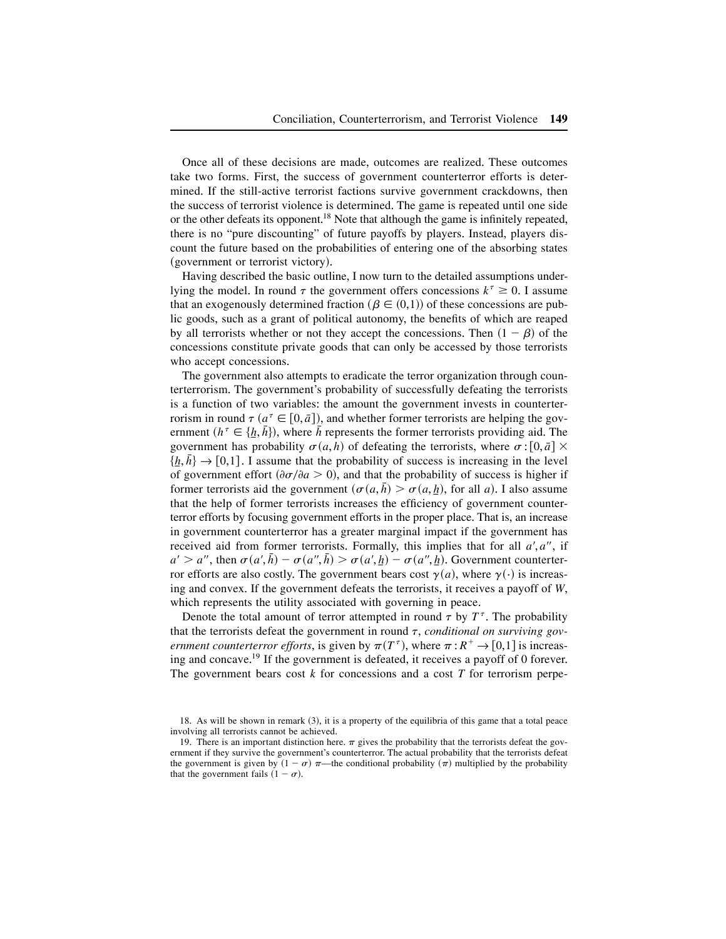Once all of these decisions are made, outcomes are realized+ These outcomes take two forms. First, the success of government counterterror efforts is determined. If the still-active terrorist factions survive government crackdowns, then the success of terrorist violence is determined+ The game is repeated until one side or the other defeats its opponent.<sup>18</sup> Note that although the game is infinitely repeated, there is no "pure discounting" of future payoffs by players. Instead, players discount the future based on the probabilities of entering one of the absorbing states  $(gover$  ment or terrorist victory).

Having described the basic outline, I now turn to the detailed assumptions underlying the model. In round  $\tau$  the government offers concessions  $k^{\tau} \ge 0$ . I assume that an exogenously determined fraction  $(\beta \in (0,1))$  of these concessions are public goods, such as a grant of political autonomy, the benefits of which are reaped by all terrorists whether or not they accept the concessions. Then  $(1 - \beta)$  of the concessions constitute private goods that can only be accessed by those terrorists who accept concessions.

The government also attempts to eradicate the terror organization through counterterrorism. The government's probability of successfully defeating the terrorists is a function of two variables: the amount the government invests in counterterrorism in round  $\tau$  ( $a^{\tau} \in [0, \bar{a}]$ ), and whether former terrorists are helping the government  $(h^{\tau} \in \{h, \bar{h}\})$ , where  $\bar{h}$  represents the former terrorists providing aid. The government has probability  $\sigma(a, h)$  of defeating the terrorists, where  $\sigma$ :  $[0, \bar{a}] \times$  $\{h,\bar{h}\}\rightarrow [0,1]$ . I assume that the probability of success is increasing in the level of government effort ( $\partial \sigma / \partial a > 0$ ), and that the probability of success is higher if former terrorists aid the government  $(\sigma(a, \bar{h}) > \sigma(a, h)$ , for all *a*). I also assume that the help of former terrorists increases the efficiency of government counterterror efforts by focusing government efforts in the proper place. That is, an increase in government counterterror has a greater marginal impact if the government has received aid from former terrorists. Formally, this implies that for all  $a', a''$ , if  $a' > a''$ , then  $\sigma(a', \bar{h}) - \sigma(a'', \bar{h}) > \sigma(a', \underline{h}) - \sigma(a'', \underline{h})$ . Government counterterror efforts are also costly. The government bears cost  $\gamma(a)$ , where  $\gamma(\cdot)$  is increasing and convex. If the government defeats the terrorists, it receives a payoff of *W*, which represents the utility associated with governing in peace.

Denote the total amount of terror attempted in round  $\tau$  by  $T^{\tau}$ . The probability that the terrorists defeat the government in round  $\tau$ , *conditional on surviving government counterterror efforts*, is given by  $\pi(T^{\tau})$ , where  $\pi : R^+ \to [0,1]$  is increasing and concave.<sup>19</sup> If the government is defeated, it receives a payoff of 0 forever. The government bears cost *k* for concessions and a cost *T* for terrorism perpe-

<sup>18.</sup> As will be shown in remark  $(3)$ , it is a property of the equilibria of this game that a total peace involving all terrorists cannot be achieved.

<sup>19.</sup> There is an important distinction here.  $\pi$  gives the probability that the terrorists defeat the government if they survive the government's counterterror. The actual probability that the terrorists defeat the government is given by  $(1 - \sigma) \pi$ —the conditional probability  $(\pi)$  multiplied by the probability that the government fails  $(1 - \sigma)$ .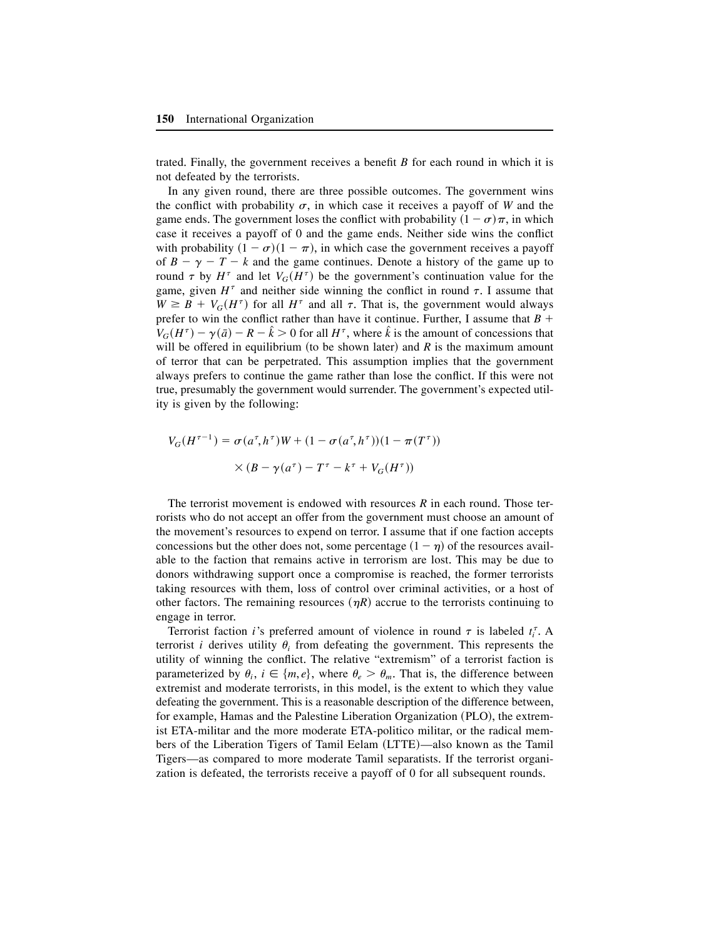trated. Finally, the government receives a benefit  $B$  for each round in which it is not defeated by the terrorists.

In any given round, there are three possible outcomes. The government wins the conflict with probability  $\sigma$ , in which case it receives a payoff of *W* and the game ends. The government loses the conflict with probability  $(1 - \sigma)\pi$ , in which case it receives a payoff of 0 and the game ends. Neither side wins the conflict with probability  $(1 - \sigma)(1 - \pi)$ , in which case the government receives a payoff of  $B - \gamma - T - k$  and the game continues. Denote a history of the game up to round  $\tau$  by  $H^{\tau}$  and let  $V_G(H^{\tau})$  be the government's continuation value for the game, given  $H^{\tau}$  and neither side winning the conflict in round  $\tau$ . I assume that  $W \geq B + V_G(H^{\tau})$  for all  $H^{\tau}$  and all  $\tau$ . That is, the government would always prefer to win the conflict rather than have it continue. Further, I assume that  $B +$  $V_G(H^{\tau}) - \gamma(\bar{a}) - R - \hat{k} > 0$  for all  $H^{\tau}$ , where  $\hat{k}$  is the amount of concessions that will be offered in equilibrium (to be shown later) and  $R$  is the maximum amount of terror that can be perpetrated+ This assumption implies that the government always prefers to continue the game rather than lose the conflict. If this were not true, presumably the government would surrender. The government's expected utility is given by the following:

$$
V_G(H^{\tau-1}) = \sigma(a^{\tau}, h^{\tau})W + (1 - \sigma(a^{\tau}, h^{\tau}))(1 - \pi(T^{\tau}))
$$

$$
\times (B - \gamma(a^{\tau}) - T^{\tau} - k^{\tau} + V_G(H^{\tau}))
$$

The terrorist movement is endowed with resources  $R$  in each round. Those terrorists who do not accept an offer from the government must choose an amount of the movement's resources to expend on terror. I assume that if one faction accepts concessions but the other does not, some percentage  $(1 - \eta)$  of the resources available to the faction that remains active in terrorism are lost. This may be due to donors withdrawing support once a compromise is reached, the former terrorists taking resources with them, loss of control over criminal activities, or a host of other factors. The remaining resources  $(\eta R)$  accrue to the terrorists continuing to engage in terror.

Terrorist faction *i*'s preferred amount of violence in round  $\tau$  is labeled  $t_i^{\tau}$ . A terrorist *i* derives utility  $\theta_i$  from defeating the government. This represents the utility of winning the conflict+ The relative "extremism" of a terrorist faction is parameterized by  $\theta_i$ ,  $i \in \{m, e\}$ , where  $\theta_e > \theta_m$ . That is, the difference between extremist and moderate terrorists, in this model, is the extent to which they value defeating the government. This is a reasonable description of the difference between, for example, Hamas and the Palestine Liberation Organization (PLO), the extremist ETA-militar and the more moderate ETA-politico militar, or the radical members of the Liberation Tigers of Tamil Eelam (LTTE)—also known as the Tamil Tigers—as compared to more moderate Tamil separatists. If the terrorist organization is defeated, the terrorists receive a payoff of 0 for all subsequent rounds.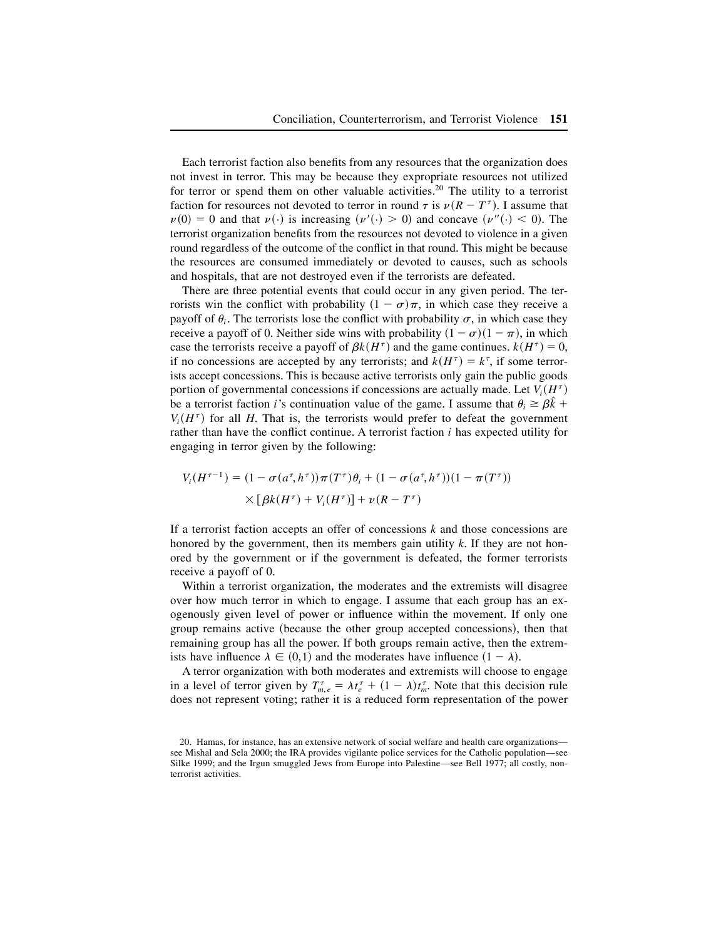Each terrorist faction also benefits from any resources that the organization does not invest in terror. This may be because they expropriate resources not utilized for terror or spend them on other valuable activities.<sup>20</sup> The utility to a terrorist faction for resources not devoted to terror in round  $\tau$  is  $\nu (R - T^{\tau})$ . I assume that  $\nu(0) = 0$  and that  $\nu(\cdot)$  is increasing  $(\nu'(\cdot) > 0)$  and concave  $(\nu''(\cdot) < 0)$ . The terrorist organization benefits from the resources not devoted to violence in a given round regardless of the outcome of the conflict in that round. This might be because the resources are consumed immediately or devoted to causes, such as schools and hospitals, that are not destroyed even if the terrorists are defeated.

There are three potential events that could occur in any given period. The terrorists win the conflict with probability  $(1 - \sigma)\pi$ , in which case they receive a payoff of  $\theta_i$ . The terrorists lose the conflict with probability  $\sigma$ , in which case they receive a payoff of 0. Neither side wins with probability  $(1 - \sigma)(1 - \pi)$ , in which case the terrorists receive a payoff of  $\beta k(H^{\tau})$  and the game continues.  $k(H^{\tau}) = 0$ , if no concessions are accepted by any terrorists; and  $k(H^{\tau}) = k^{\tau}$ , if some terrorists accept concessions. This is because active terrorists only gain the public goods portion of governmental concessions if concessions are actually made. Let  $V_i(H^{\tau})$ be a terrorist faction *i*'s continuation value of the game. I assume that  $\theta_i \geq \beta \hat{k} + \beta \hat{k}$  $V_i(H^{\tau})$  for all *H*. That is, the terrorists would prefer to defeat the government rather than have the conflict continue. A terrorist faction *i* has expected utility for engaging in terror given by the following:

$$
V_i(H^{\tau-1}) = (1 - \sigma(a^{\tau}, h^{\tau}))\pi(T^{\tau})\theta_i + (1 - \sigma(a^{\tau}, h^{\tau}))(1 - \pi(T^{\tau}))
$$

$$
\times [\beta k(H^{\tau}) + V_i(H^{\tau})] + \nu(R - T^{\tau})
$$

If a terrorist faction accepts an offer of concessions *k* and those concessions are honored by the government, then its members gain utility  $k$ . If they are not honored by the government or if the government is defeated, the former terrorists receive a payoff of 0.

Within a terrorist organization, the moderates and the extremists will disagree over how much terror in which to engage. I assume that each group has an exogenously given level of power or influence within the movement. If only one group remains active (because the other group accepted concessions), then that remaining group has all the power. If both groups remain active, then the extremists have influence  $\lambda \in (0,1)$  and the moderates have influence  $(1 - \lambda)$ .

A terror organization with both moderates and extremists will choose to engage in a level of terror given by  $T_{m,e}^{\tau} = \lambda t_e^{\tau} + (1 - \lambda) t_m^{\tau}$ . Note that this decision rule does not represent voting; rather it is a reduced form representation of the power

<sup>20.</sup> Hamas, for instance, has an extensive network of social welfare and health care organizations see Mishal and Sela 2000; the IRA provides vigilante police services for the Catholic population—see Silke 1999; and the Irgun smuggled Jews from Europe into Palestine—see Bell 1977; all costly, nonterrorist activities.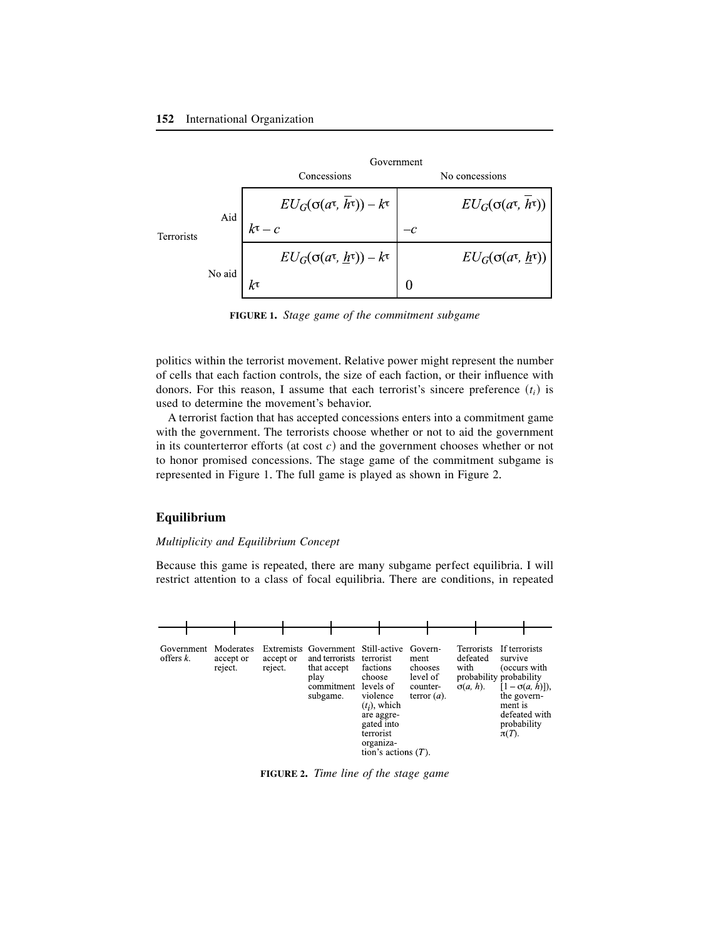

**FIGURE 1.** *Stage game of the commitment subgame*

politics within the terrorist movement. Relative power might represent the number of cells that each faction controls, the size of each faction, or their influence with donors. For this reason, I assume that each terrorist's sincere preference  $(t_i)$  is used to determine the movement's behavior.

A terrorist faction that has accepted concessions enters into a commitment game with the government. The terrorists choose whether or not to aid the government in its counterterror efforts (at cost  $c$ ) and the government chooses whether or not to honor promised concessions+ The stage game of the commitment subgame is represented in Figure 1. The full game is played as shown in Figure 2.

# **Equilibrium**

# *Multiplicity and Equilibrium Concept*

Because this game is repeated, there are many subgame perfect equilibria. I will restrict attention to a class of focal equilibria. There are conditions, in repeated



**FIGURE 2.** *Time line of the stage game*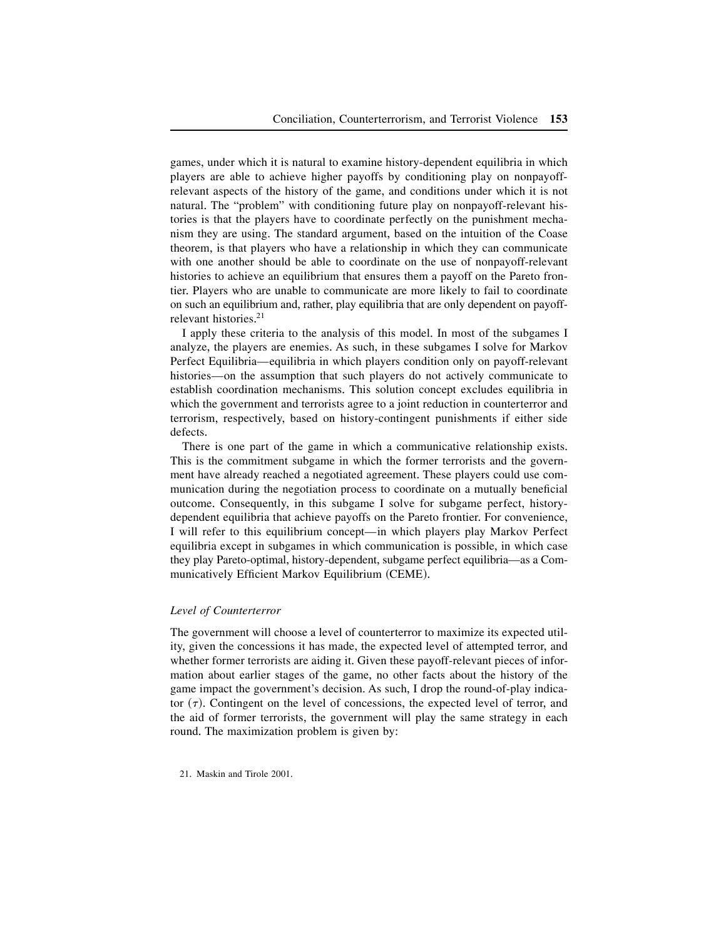games, under which it is natural to examine history-dependent equilibria in which players are able to achieve higher payoffs by conditioning play on nonpayoffrelevant aspects of the history of the game, and conditions under which it is not natural. The "problem" with conditioning future play on nonpayoff-relevant histories is that the players have to coordinate perfectly on the punishment mechanism they are using. The standard argument, based on the intuition of the Coase theorem, is that players who have a relationship in which they can communicate with one another should be able to coordinate on the use of nonpayoff-relevant histories to achieve an equilibrium that ensures them a payoff on the Pareto frontier. Players who are unable to communicate are more likely to fail to coordinate on such an equilibrium and, rather, play equilibria that are only dependent on payoffrelevant histories. $21$ 

I apply these criteria to the analysis of this model. In most of the subgames I analyze, the players are enemies. As such, in these subgames I solve for Markov Perfect Equilibria—equilibria in which players condition only on payoff-relevant histories—on the assumption that such players do not actively communicate to establish coordination mechanisms. This solution concept excludes equilibria in which the government and terrorists agree to a joint reduction in counterterror and terrorism, respectively, based on history-contingent punishments if either side defects.

There is one part of the game in which a communicative relationship exists. This is the commitment subgame in which the former terrorists and the government have already reached a negotiated agreement. These players could use communication during the negotiation process to coordinate on a mutually beneficial outcome. Consequently, in this subgame I solve for subgame perfect, historydependent equilibria that achieve payoffs on the Pareto frontier. For convenience, I will refer to this equilibrium concept—in which players play Markov Perfect equilibria except in subgames in which communication is possible, in which case they play Pareto-optimal, history-dependent, subgame perfect equilibria—as a Communicatively Efficient Markov Equilibrium (CEME).

## *Level of Counterterror*

The government will choose a level of counterterror to maximize its expected utility, given the concessions it has made, the expected level of attempted terror, and whether former terrorists are aiding it. Given these payoff-relevant pieces of information about earlier stages of the game, no other facts about the history of the game impact the government's decision. As such, I drop the round-of-play indicator  $(\tau)$ . Contingent on the level of concessions, the expected level of terror, and the aid of former terrorists, the government will play the same strategy in each round. The maximization problem is given by:

21. Maskin and Tirole 2001.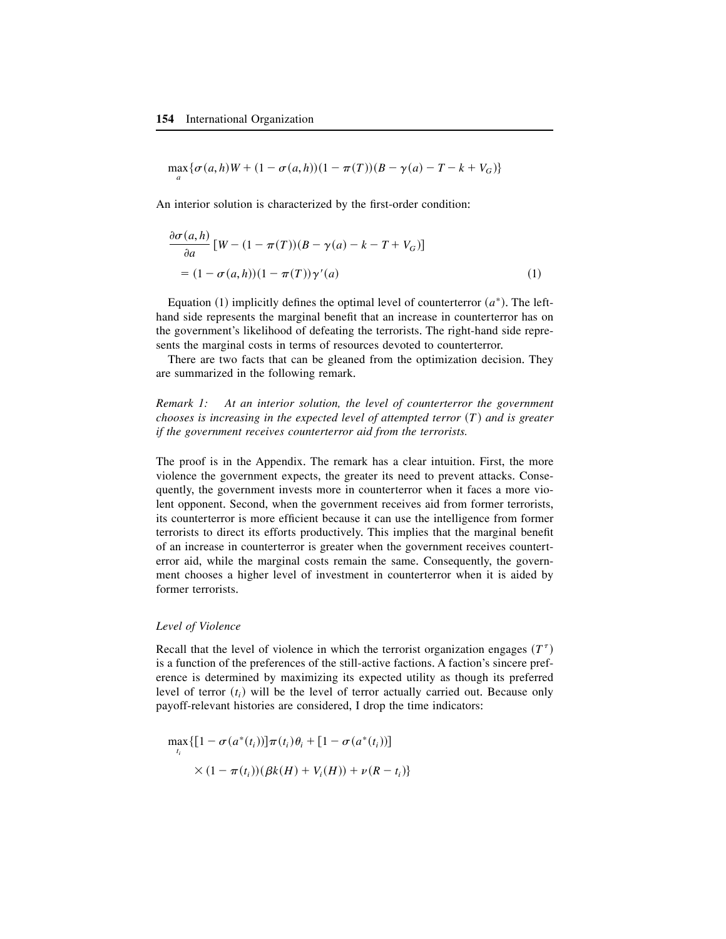$$
\max_{a} \{ \sigma(a, h)W + (1 - \sigma(a, h))(1 - \pi(T))(B - \gamma(a) - T - k + V_G) \}
$$

An interior solution is characterized by the first-order condition:

$$
\frac{\partial \sigma(a, h)}{\partial a} \left[ W - (1 - \pi(T))(B - \gamma(a) - k - T + V_G) \right]
$$
  
= 
$$
(1 - \sigma(a, h))(1 - \pi(T))\gamma'(a)
$$
 (1)

Equation  $(1)$  implicitly defines the optimal level of counterterror  $(a^*)$ . The lefthand side represents the marginal benefit that an increase in counterterror has on the government's likelihood of defeating the terrorists+ The right-hand side represents the marginal costs in terms of resources devoted to counterterror.

There are two facts that can be gleaned from the optimization decision. They are summarized in the following remark.

*Remark 1: At an interior solution, the level of counterterror the government chooses is increasing in the expected level of attempted terror*  $(T)$  and is greater *if the government receives counterterror aid from the terrorists.*

The proof is in the Appendix. The remark has a clear intuition. First, the more violence the government expects, the greater its need to prevent attacks. Consequently, the government invests more in counterterror when it faces a more violent opponent. Second, when the government receives aid from former terrorists, its counterterror is more efficient because it can use the intelligence from former terrorists to direct its efforts productively. This implies that the marginal benefit of an increase in counterterror is greater when the government receives counterterror aid, while the marginal costs remain the same. Consequently, the government chooses a higher level of investment in counterterror when it is aided by former terrorists.

## *Level of Violence*

Recall that the level of violence in which the terrorist organization engages  $(T^{\tau})$ is a function of the preferences of the still-active factions. A faction's sincere preference is determined by maximizing its expected utility as though its preferred level of terror  $(t_i)$  will be the level of terror actually carried out. Because only payoff-relevant histories are considered, I drop the time indicators:

$$
\max_{t_i} \{ [1 - \sigma(a^*(t_i))] \pi(t_i) \theta_i + [1 - \sigma(a^*(t_i))]
$$
  
 
$$
\times (1 - \pi(t_i)) (\beta k(H) + V_i(H)) + \nu(R - t_i) \}
$$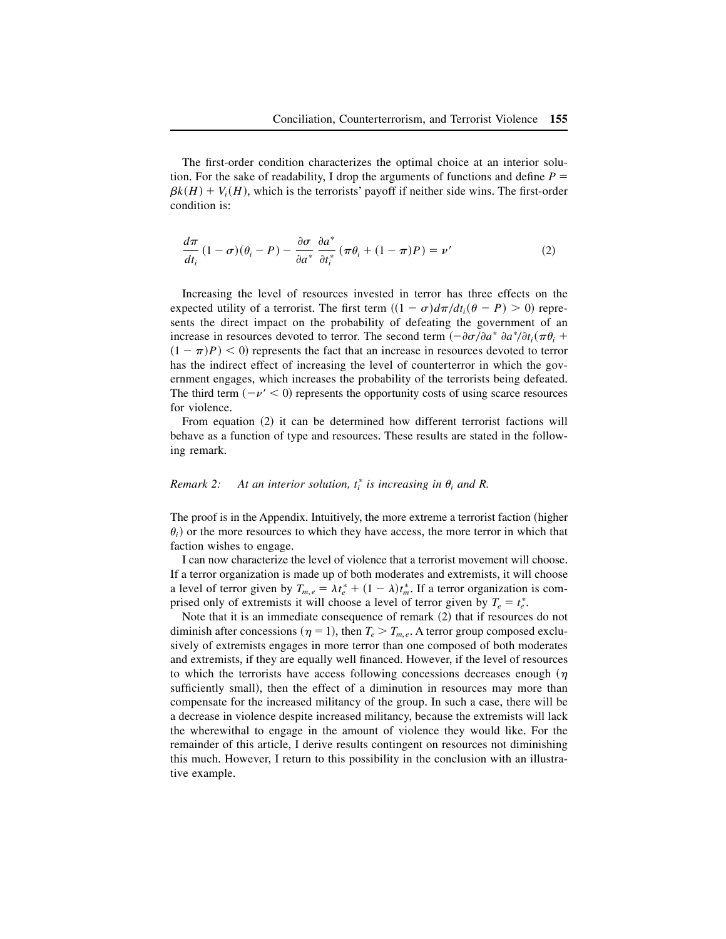The first-order condition characterizes the optimal choice at an interior solution. For the sake of readability, I drop the arguments of functions and define  $P =$  $\beta k(H) + V_i(H)$ , which is the terrorists' payoff if neither side wins. The first-order condition is:

$$
\frac{d\pi}{dt_i} (1 - \sigma)(\theta_i - P) - \frac{\partial \sigma}{\partial a^*} \frac{\partial a^*}{\partial t_i^*} (\pi \theta_i + (1 - \pi)P) = \nu' \tag{2}
$$

Increasing the level of resources invested in terror has three effects on the expected utility of a terrorist. The first term  $((1 - \sigma)d\pi/dt_i(\theta - P) > 0)$  represents the direct impact on the probability of defeating the government of an increase in resources devoted to terror. The second term  $(-\partial \sigma/\partial a^* \partial a^* / \partial t_i (\pi \theta_i +$  $(1 - \pi)P$   $> 0$  represents the fact that an increase in resources devoted to terror has the indirect effect of increasing the level of counterterror in which the government engages, which increases the probability of the terrorists being defeated. The third term  $(-\nu' < 0)$  represents the opportunity costs of using scarce resources for violence.

From equation  $(2)$  it can be determined how different terrorist factions will behave as a function of type and resources. These results are stated in the following remark.

# *Remark 2:* At an interior solution,  $t_i^*$  is increasing in  $\theta_i$  and R.

The proof is in the Appendix. Intuitively, the more extreme a terrorist faction (higher  $\theta_i$ ) or the more resources to which they have access, the more terror in which that faction wishes to engage.

I can now characterize the level of violence that a terrorist movement will choose. If a terror organization is made up of both moderates and extremists, it will choose a level of terror given by  $T_{m,e} = \lambda t_e^* + (1 - \lambda)t_m^*$ . If a terror organization is comprised only of extremists it will choose a level of terror given by  $T_e = t_e^*$ .

Note that it is an immediate consequence of remark  $(2)$  that if resources do not diminish after concessions ( $\eta = 1$ ), then  $T_e > T_{m,e}$ . A terror group composed exclusively of extremists engages in more terror than one composed of both moderates and extremists, if they are equally well financed. However, if the level of resources to which the terrorists have access following concessions decreases enough  $(\eta)$ sufficiently small), then the effect of a diminution in resources may more than compensate for the increased militancy of the group. In such a case, there will be a decrease in violence despite increased militancy, because the extremists will lack the wherewithal to engage in the amount of violence they would like. For the remainder of this article, I derive results contingent on resources not diminishing this much. However, I return to this possibility in the conclusion with an illustrative example.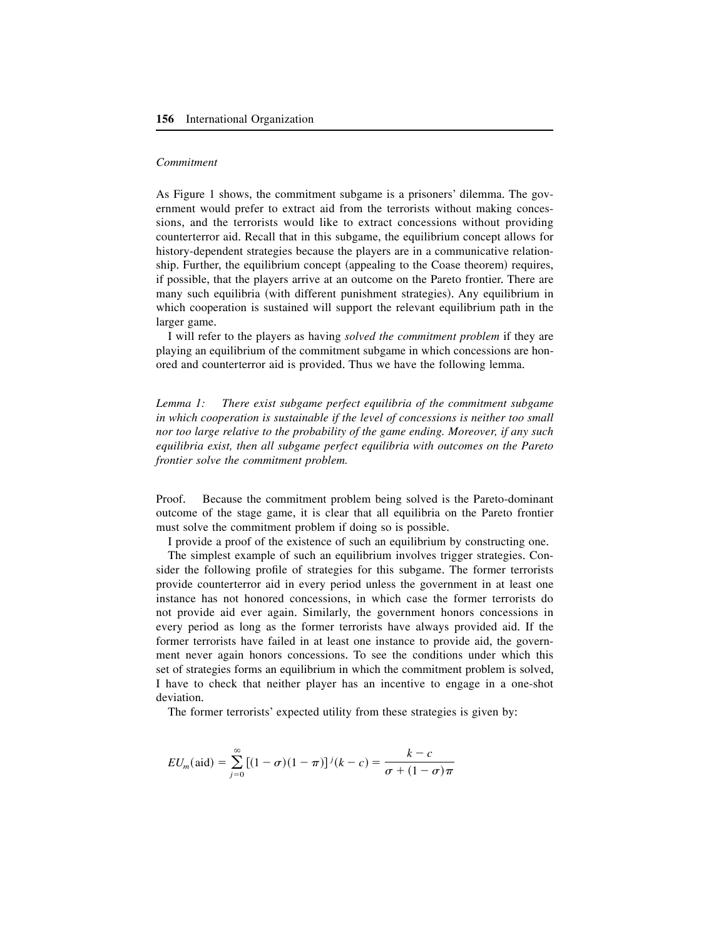#### *Commitment*

As Figure 1 shows, the commitment subgame is a prisoners' dilemma. The government would prefer to extract aid from the terrorists without making concessions, and the terrorists would like to extract concessions without providing counterterror aid. Recall that in this subgame, the equilibrium concept allows for history-dependent strategies because the players are in a communicative relationship. Further, the equilibrium concept (appealing to the Coase theorem) requires, if possible, that the players arrive at an outcome on the Pareto frontier. There are many such equilibria (with different punishment strategies). Any equilibrium in which cooperation is sustained will support the relevant equilibrium path in the larger game.

I will refer to the players as having *solved the commitment problem* if they are playing an equilibrium of the commitment subgame in which concessions are honored and counterterror aid is provided. Thus we have the following lemma.

*Lemma 1: There exist subgame perfect equilibria of the commitment subgame in which cooperation is sustainable if the level of concessions is neither too small nor too large relative to the probability of the game ending. Moreover, if any such equilibria exist, then all subgame perfect equilibria with outcomes on the Pareto frontier solve the commitment problem.*

Proof. Because the commitment problem being solved is the Pareto-dominant outcome of the stage game, it is clear that all equilibria on the Pareto frontier must solve the commitment problem if doing so is possible.

I provide a proof of the existence of such an equilibrium by constructing one.

The simplest example of such an equilibrium involves trigger strategies. Consider the following profile of strategies for this subgame. The former terrorists provide counterterror aid in every period unless the government in at least one instance has not honored concessions, in which case the former terrorists do not provide aid ever again. Similarly, the government honors concessions in every period as long as the former terrorists have always provided aid. If the former terrorists have failed in at least one instance to provide aid, the government never again honors concessions. To see the conditions under which this set of strategies forms an equilibrium in which the commitment problem is solved, I have to check that neither player has an incentive to engage in a one-shot deviation.

The former terrorists' expected utility from these strategies is given by:

$$
EU_m(\text{aid}) = \sum_{j=0}^{\infty} \left[ (1 - \sigma)(1 - \pi) \right]^j (k - c) = \frac{k - c}{\sigma + (1 - \sigma)\pi}
$$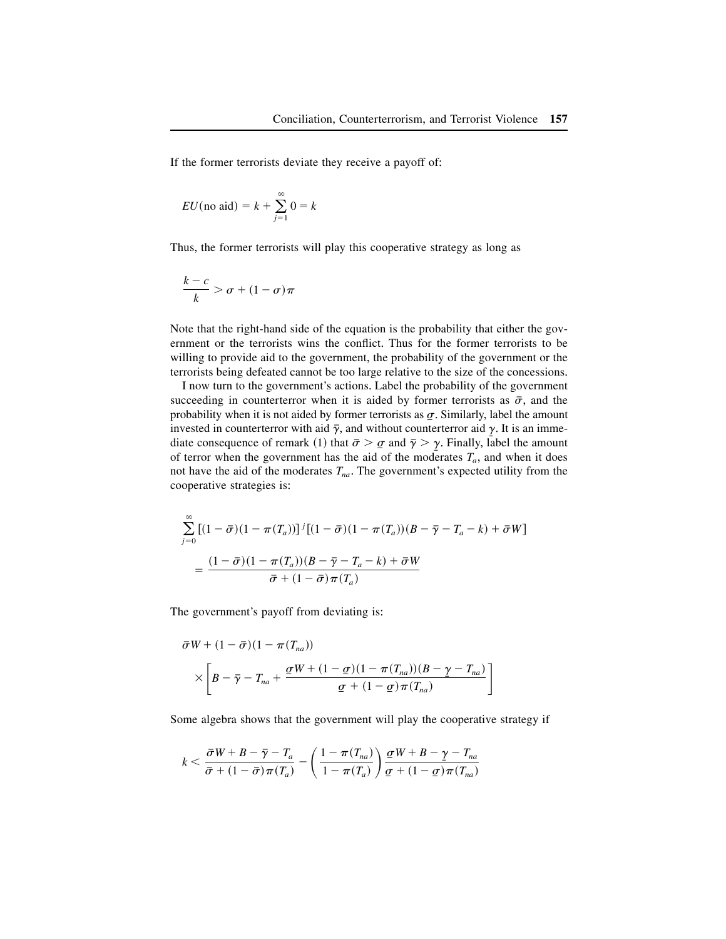If the former terrorists deviate they receive a payoff of:

$$
EU(\text{no aid}) = k + \sum_{j=1}^{\infty} 0 = k
$$

Thus, the former terrorists will play this cooperative strategy as long as

$$
\frac{k-c}{k} > \sigma + (1-\sigma)\pi
$$

Note that the right-hand side of the equation is the probability that either the government or the terrorists wins the conflict. Thus for the former terrorists to be willing to provide aid to the government, the probability of the government or the terrorists being defeated cannot be too large relative to the size of the concessions.

I now turn to the government's actions. Label the probability of the government succeeding in counterterror when it is aided by former terrorists as  $\bar{\sigma}$ , and the probability when it is not aided by former terrorists as  $\sigma$ . Similarly, label the amount invested in counterterror with aid  $\bar{\gamma}$ , and without counterterror aid  $\gamma$ . It is an immediate consequence of remark (1) that  $\bar{\sigma} > \underline{\sigma}$  and  $\bar{\gamma} > \gamma$ . Finally, label the amount of terror when the government has the aid of the moderates  $T_a$ , and when it does not have the aid of the moderates  $T_{na}$ . The government's expected utility from the cooperative strategies is:

$$
\sum_{j=0}^{\infty} \left[ (1 - \bar{\sigma})(1 - \pi(T_a))]^j \left[ (1 - \bar{\sigma})(1 - \pi(T_a))(B - \bar{\gamma} - T_a - k) + \bar{\sigma}W \right] \right]
$$

$$
= \frac{(1 - \bar{\sigma})(1 - \pi(T_a))(B - \bar{\gamma} - T_a - k) + \bar{\sigma}W}{\bar{\sigma} + (1 - \bar{\sigma})\pi(T_a)}
$$

The government's payoff from deviating is:

$$
\bar{\sigma}W + (1 - \bar{\sigma})(1 - \pi(T_{na}))
$$
  
 
$$
\times \left[ B - \bar{\gamma} - T_{na} + \frac{\sigma W + (1 - \sigma)(1 - \pi(T_{na}))(B - \gamma - T_{na})}{\sigma + (1 - \sigma)\pi(T_{na})} \right]
$$

Some algebra shows that the government will play the cooperative strategy if

$$
k < \frac{\bar{\sigma}W + B - \bar{\gamma} - T_a}{\bar{\sigma} + (1 - \bar{\sigma})\pi(T_a)} - \left(\frac{1 - \pi(T_{na})}{1 - \pi(T_a)}\right)\frac{\sigma W + B - \gamma - T_{na}}{\sigma + (1 - \sigma)\pi(T_{na})}
$$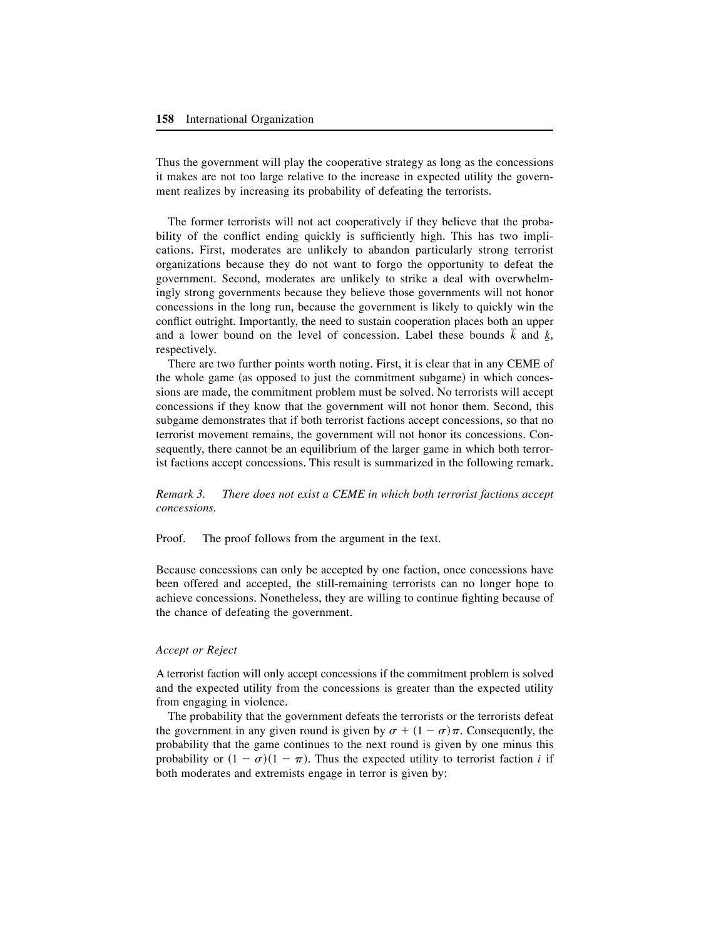Thus the government will play the cooperative strategy as long as the concessions it makes are not too large relative to the increase in expected utility the government realizes by increasing its probability of defeating the terrorists.

The former terrorists will not act cooperatively if they believe that the probability of the conflict ending quickly is sufficiently high. This has two implications+ First, moderates are unlikely to abandon particularly strong terrorist organizations because they do not want to forgo the opportunity to defeat the government. Second, moderates are unlikely to strike a deal with overwhelmingly strong governments because they believe those governments will not honor concessions in the long run, because the government is likely to quickly win the conflict outright. Importantly, the need to sustain cooperation places both an upper and a lower bound on the level of concession. Label these bounds  $\overline{k}$  and  $\overline{k}$ , respectively.

There are two further points worth noting. First, it is clear that in any CEME of the whole game (as opposed to just the commitment subgame) in which concessions are made, the commitment problem must be solved. No terrorists will accept concessions if they know that the government will not honor them. Second, this subgame demonstrates that if both terrorist factions accept concessions, so that no terrorist movement remains, the government will not honor its concessions+ Consequently, there cannot be an equilibrium of the larger game in which both terrorist factions accept concessions. This result is summarized in the following remark.

*Remark 3. There does not exist a CEME in which both terrorist factions accept concessions.*

Proof. The proof follows from the argument in the text.

Because concessions can only be accepted by one faction, once concessions have been offered and accepted, the still-remaining terrorists can no longer hope to achieve concessions. Nonetheless, they are willing to continue fighting because of the chance of defeating the government.

## *Accept or Reject*

A terrorist faction will only accept concessions if the commitment problem is solved and the expected utility from the concessions is greater than the expected utility from engaging in violence.

The probability that the government defeats the terrorists or the terrorists defeat the government in any given round is given by  $\sigma + (1 - \sigma)\pi$ . Consequently, the probability that the game continues to the next round is given by one minus this probability or  $(1 - \sigma)(1 - \pi)$ . Thus the expected utility to terrorist faction *i* if both moderates and extremists engage in terror is given by: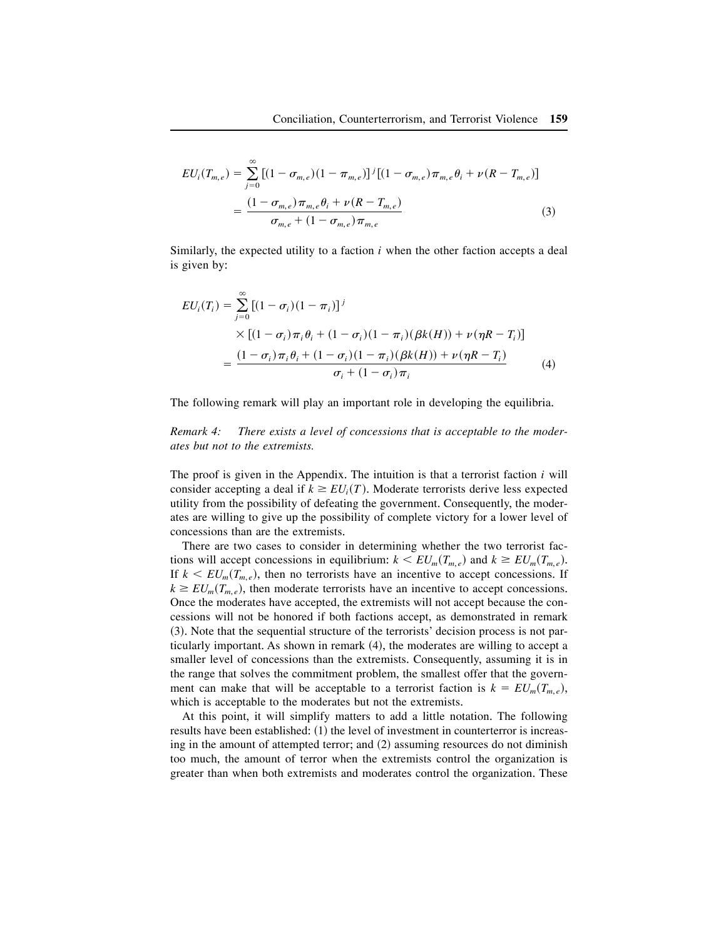$$
EU_i(T_{m,e}) = \sum_{j=0}^{\infty} \left[ (1 - \sigma_{m,e})(1 - \pi_{m,e}) \right]^{j} \left[ (1 - \sigma_{m,e}) \pi_{m,e} \theta_i + \nu (R - T_{m,e}) \right]
$$

$$
= \frac{(1 - \sigma_{m,e}) \pi_{m,e} \theta_i + \nu (R - T_{m,e})}{\sigma_{m,e} + (1 - \sigma_{m,e}) \pi_{m,e}}
$$
(3)

Similarly, the expected utility to a faction *i* when the other faction accepts a deal is given by:

$$
EU_i(T_i) = \sum_{j=0}^{\infty} [(1 - \sigma_i)(1 - \pi_i)]^j
$$
  
 
$$
\times [(1 - \sigma_i)\pi_i \theta_i + (1 - \sigma_i)(1 - \pi_i)(\beta k(H)) + \nu(\eta R - T_i)]
$$
  
= 
$$
\frac{(1 - \sigma_i)\pi_i \theta_i + (1 - \sigma_i)(1 - \pi_i)(\beta k(H)) + \nu(\eta R - T_i)}{\sigma_i + (1 - \sigma_i)\pi_i}
$$
(4)

The following remark will play an important role in developing the equilibria.

*Remark 4: There exists a level of concessions that is acceptable to the moderates but not to the extremists.*

The proof is given in the Appendix. The intuition is that a terrorist faction  $i$  will consider accepting a deal if  $k \geq EU_i(T)$ . Moderate terrorists derive less expected utility from the possibility of defeating the government. Consequently, the moderates are willing to give up the possibility of complete victory for a lower level of concessions than are the extremists.

There are two cases to consider in determining whether the two terrorist factions will accept concessions in equilibrium:  $k \leq EU_m(T_{m,e})$  and  $k \geq EU_m(T_{m,e})$ . If  $k \leq EU_m(T_{m,e})$ , then no terrorists have an incentive to accept concessions. If  $k \geq EU_m(T_{m,e})$ , then moderate terrorists have an incentive to accept concessions. Once the moderates have accepted, the extremists will not accept because the concessions will not be honored if both factions accept, as demonstrated in remark  $(3)$ . Note that the sequential structure of the terrorists' decision process is not particularly important. As shown in remark  $(4)$ , the moderates are willing to accept a smaller level of concessions than the extremists. Consequently, assuming it is in the range that solves the commitment problem, the smallest offer that the government can make that will be acceptable to a terrorist faction is  $k = EU_m(T_{m,e})$ , which is acceptable to the moderates but not the extremists.

At this point, it will simplify matters to add a little notation+ The following results have been established:  $(1)$  the level of investment in counterterror is increasing in the amount of attempted terror; and  $(2)$  assuming resources do not diminish too much, the amount of terror when the extremists control the organization is greater than when both extremists and moderates control the organization. These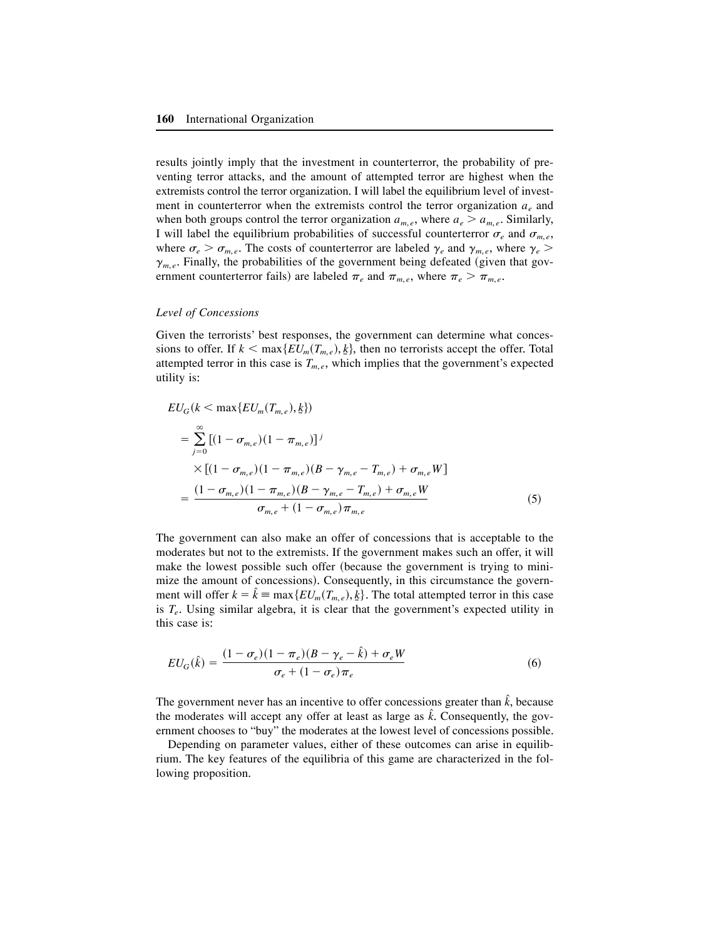results jointly imply that the investment in counterterror, the probability of preventing terror attacks, and the amount of attempted terror are highest when the extremists control the terror organization. I will label the equilibrium level of investment in counterterror when the extremists control the terror organization  $a_e$  and when both groups control the terror organization  $a_{m,e}$ , where  $a_e > a_{m,e}$ . Similarly, I will label the equilibrium probabilities of successful counterterror  $\sigma_e$  and  $\sigma_{m,e}$ , where  $\sigma_e > \sigma_{m,e}$ . The costs of counterterror are labeled  $\gamma_e$  and  $\gamma_{m,e}$ , where  $\gamma_e$  $\gamma_{m,e}$ . Finally, the probabilities of the government being defeated (given that government counterterror fails) are labeled  $\pi_e$  and  $\pi_{m,e}$ , where  $\pi_e > \pi_{m,e}$ .

#### *Level of Concessions*

Given the terrorists' best responses, the government can determine what concessions to offer. If  $k < \max\{EU_m(T_{m,e}), k\}$ , then no terrorists accept the offer. Total attempted terror in this case is  $T_{m,e}$ , which implies that the government's expected utility is:

$$
EU_G(k < \max\{EU_m(T_{m,e}), \underline{k}\})
$$
  
= 
$$
\sum_{j=0}^{\infty} [(1 - \sigma_{m,e})(1 - \pi_{m,e})]^j
$$
  

$$
\times [(1 - \sigma_{m,e})(1 - \pi_{m,e})(B - \gamma_{m,e} - T_{m,e}) + \sigma_{m,e}W]
$$
  
= 
$$
\frac{(1 - \sigma_{m,e})(1 - \pi_{m,e})(B - \gamma_{m,e} - T_{m,e}) + \sigma_{m,e}W}{\sigma_{m,e} + (1 - \sigma_{m,e})\pi_{m,e}}
$$
(5)

The government can also make an offer of concessions that is acceptable to the moderates but not to the extremists. If the government makes such an offer, it will make the lowest possible such offer (because the government is trying to minimize the amount of concessions). Consequently, in this circumstance the government will offer  $k = \hat{k} \equiv \max\{EU_m(T_{m,\epsilon}), k\}$ . The total attempted terror in this case is  $T_e$ . Using similar algebra, it is clear that the government's expected utility in this case is:

$$
EU_G(\hat{k}) = \frac{(1 - \sigma_e)(1 - \pi_e)(B - \gamma_e - \hat{k}) + \sigma_e W}{\sigma_e + (1 - \sigma_e)\pi_e}
$$
(6)

The government never has an incentive to offer concessions greater than  $\hat{k}$ , because the moderates will accept any offer at least as large as  $k$ . Consequently, the government chooses to "buy" the moderates at the lowest level of concessions possible+

Depending on parameter values, either of these outcomes can arise in equilibrium. The key features of the equilibria of this game are characterized in the following proposition.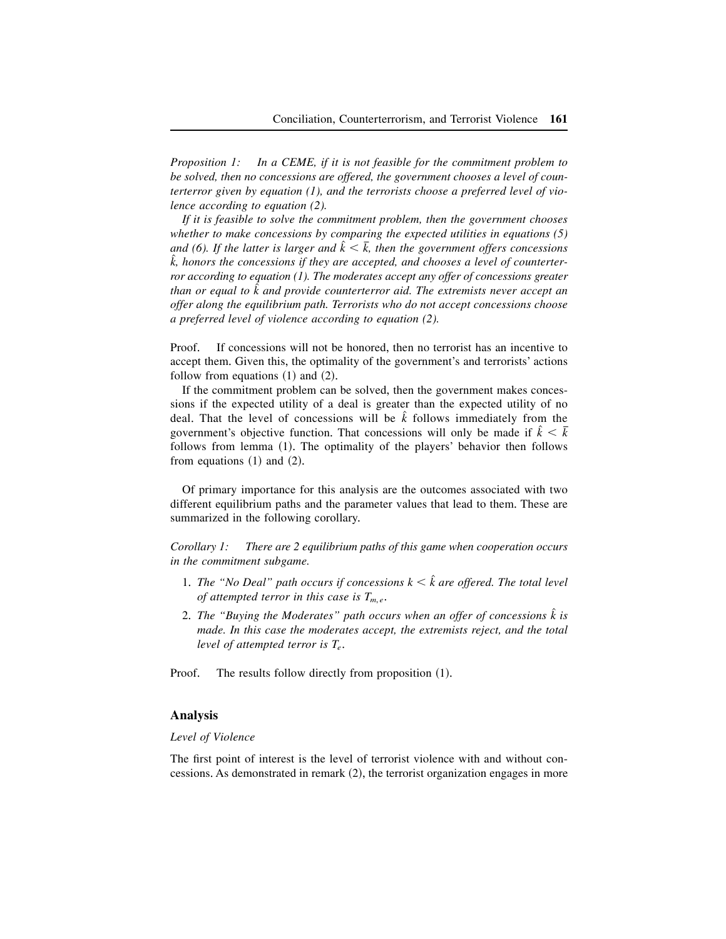*Proposition 1: In a CEME, if it is not feasible for the commitment problem to be solved, then no concessions are offered, the government chooses a level of counterterror given by equation (1), and the terrorists choose a preferred level of violence according to equation (2).*

*If it is feasible to solve the commitment problem, then the government chooses whether to make concessions by comparing the expected utilities in equations (5) and (6). If the latter is larger and*  $\hat{k} < \bar{k}$ , then the government offers concessions *k, honors the concessions if they are accepted, and chooses a level of counterter-* Z *ror according to equation (1). The moderates accept any offer of concessions greater than or equal to*  $\hat{k}$  *and provide counterterror aid. The extremists never accept an offer along the equilibrium path. Terrorists who do not accept concessions choose a preferred level of violence according to equation (2).*

Proof. If concessions will not be honored, then no terrorist has an incentive to accept them. Given this, the optimality of the government's and terrorists' actions follow from equations  $(1)$  and  $(2)$ .

If the commitment problem can be solved, then the government makes concessions if the expected utility of a deal is greater than the expected utility of no deal. That the level of concessions will be  $\hat{k}$  follows immediately from the government's objective function. That concessions will only be made if  $\hat{k} < \bar{k}$ follows from lemma  $(1)$ . The optimality of the players' behavior then follows from equations  $(1)$  and  $(2)$ .

Of primary importance for this analysis are the outcomes associated with two different equilibrium paths and the parameter values that lead to them. These are summarized in the following corollary.

*Corollary 1: There are 2 equilibrium paths of this game when cooperation occurs in the commitment subgame.*

- 1. The "No Deal" path occurs if concessions  $k \leq \hat{k}$  are offered. The total level *of attempted terror in this case is*  $T_{m,e}$ .
- 2. The "Buying the Moderates" path occurs when an offer of concessions  $\hat{k}$  is *made. In this case the moderates accept, the extremists reject, and the total level of attempted terror is*  $T_e$ .

Proof. The results follow directly from proposition  $(1)$ .

# **Analysis**

## *Level of Violence*

The first point of interest is the level of terrorist violence with and without concessions. As demonstrated in remark  $(2)$ , the terrorist organization engages in more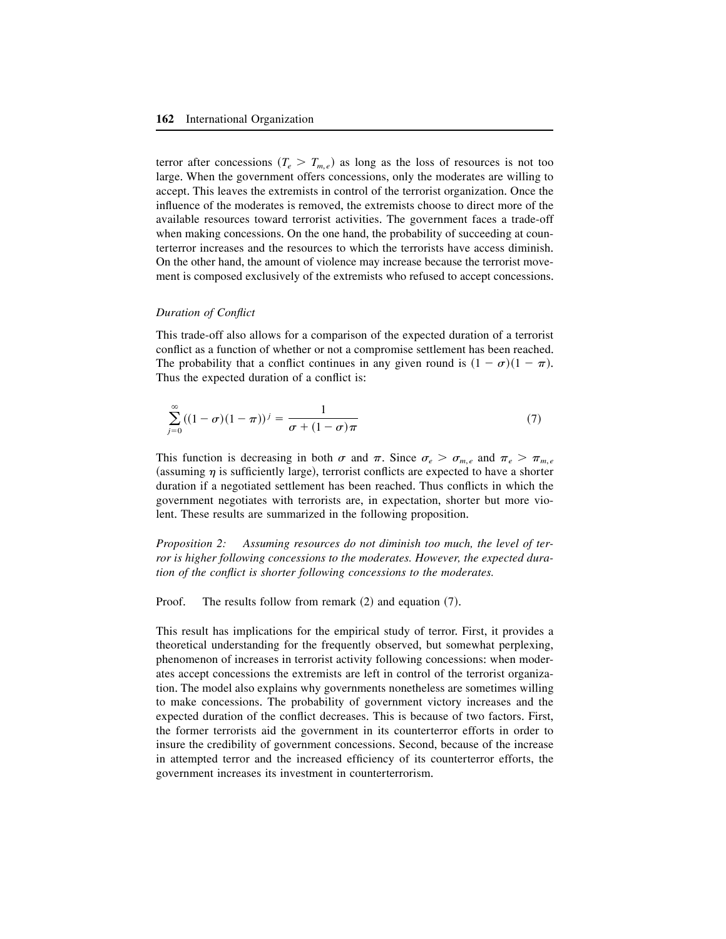terror after concessions  $(T_e > T_{m,e})$  as long as the loss of resources is not too large. When the government offers concessions, only the moderates are willing to accept. This leaves the extremists in control of the terrorist organization. Once the influence of the moderates is removed, the extremists choose to direct more of the available resources toward terrorist activities. The government faces a trade-off when making concessions. On the one hand, the probability of succeeding at counterterror increases and the resources to which the terrorists have access diminish+ On the other hand, the amount of violence may increase because the terrorist movement is composed exclusively of the extremists who refused to accept concessions.

## *Duration of Conflict*

This trade-off also allows for a comparison of the expected duration of a terrorist conflict as a function of whether or not a compromise settlement has been reached. The probability that a conflict continues in any given round is  $(1 - \sigma)(1 - \pi)$ . Thus the expected duration of a conflict is:

$$
\sum_{j=0}^{\infty} \left( (1 - \sigma)(1 - \pi) \right)^j = \frac{1}{\sigma + (1 - \sigma)\pi} \tag{7}
$$

This function is decreasing in both  $\sigma$  and  $\pi$ . Since  $\sigma_e > \sigma_{m,e}$  and  $\pi_e > \pi_{m,e}$ (assuming  $\eta$  is sufficiently large), terrorist conflicts are expected to have a shorter duration if a negotiated settlement has been reached. Thus conflicts in which the government negotiates with terrorists are, in expectation, shorter but more violent. These results are summarized in the following proposition.

*Proposition 2: Assuming resources do not diminish too much, the level of terror is higher following concessions to the moderates. However, the expected duration of the conflict is shorter following concessions to the moderates.*

Proof. The results follow from remark  $(2)$  and equation  $(7)$ .

This result has implications for the empirical study of terror. First, it provides a theoretical understanding for the frequently observed, but somewhat perplexing, phenomenon of increases in terrorist activity following concessions: when moderates accept concessions the extremists are left in control of the terrorist organization. The model also explains why governments nonetheless are sometimes willing to make concessions. The probability of government victory increases and the expected duration of the conflict decreases. This is because of two factors. First, the former terrorists aid the government in its counterterror efforts in order to insure the credibility of government concessions. Second, because of the increase in attempted terror and the increased efficiency of its counterterror efforts, the government increases its investment in counterterrorism+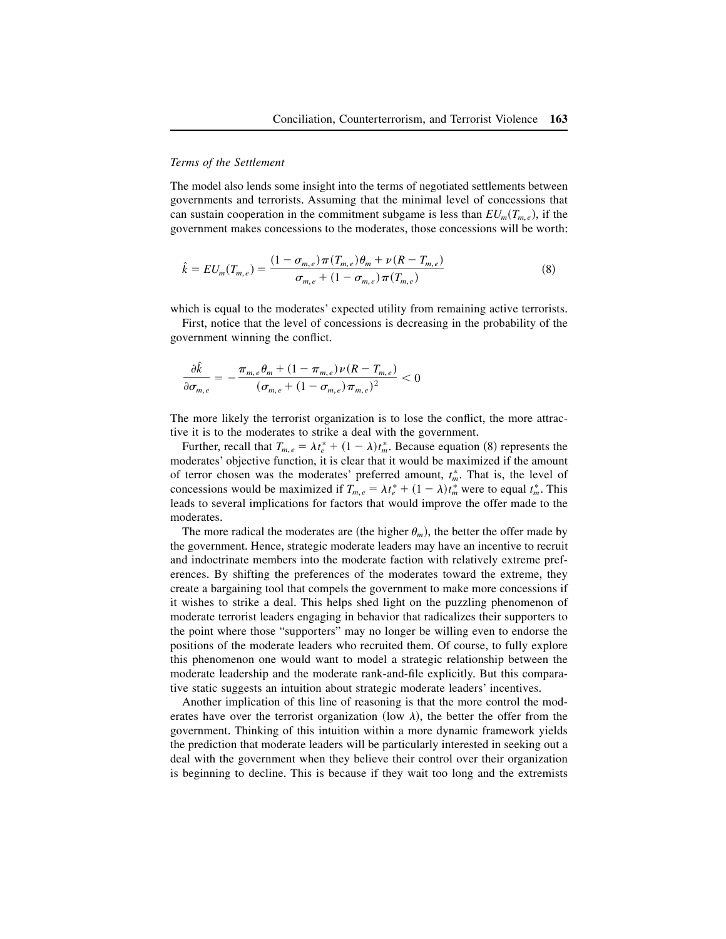#### *Terms of the Settlement*

The model also lends some insight into the terms of negotiated settlements between governments and terrorists+ Assuming that the minimal level of concessions that can sustain cooperation in the commitment subgame is less than  $EU_m(T_{m,e})$ , if the government makes concessions to the moderates, those concessions will be worth:

$$
\hat{k} = EU_m(T_{m,e}) = \frac{(1 - \sigma_{m,e})\pi(T_{m,e})\theta_m + \nu(R - T_{m,e})}{\sigma_{m,e} + (1 - \sigma_{m,e})\pi(T_{m,e})}
$$
(8)

which is equal to the moderates' expected utility from remaining active terrorists.

First, notice that the level of concessions is decreasing in the probability of the government winning the conflict.

$$
\frac{\partial \hat{k}}{\partial \sigma_{m,e}} = -\frac{\pi_{m,e} \theta_m + (1 - \pi_{m,e}) \nu (R - T_{m,e})}{(\sigma_{m,e} + (1 - \sigma_{m,e}) \pi_{m,e})^2} < 0
$$

The more likely the terrorist organization is to lose the conflict, the more attractive it is to the moderates to strike a deal with the government.

Further, recall that  $T_{m,e} = \lambda t_e^* + (1 - \lambda)t_m^*$ . Because equation (8) represents the moderates' objective function, it is clear that it would be maximized if the amount of terror chosen was the moderates' preferred amount,  $t_m^*$ . That is, the level of concessions would be maximized if  $T_{m,e} = \lambda t_e^* + (1 - \lambda)t_m^*$  were to equal  $t_m^*$ . This leads to several implications for factors that would improve the offer made to the moderates.

The more radical the moderates are (the higher  $\theta_m$ ), the better the offer made by the government. Hence, strategic moderate leaders may have an incentive to recruit and indoctrinate members into the moderate faction with relatively extreme preferences. By shifting the preferences of the moderates toward the extreme, they create a bargaining tool that compels the government to make more concessions if it wishes to strike a deal. This helps shed light on the puzzling phenomenon of moderate terrorist leaders engaging in behavior that radicalizes their supporters to the point where those "supporters" may no longer be willing even to endorse the positions of the moderate leaders who recruited them. Of course, to fully explore this phenomenon one would want to model a strategic relationship between the moderate leadership and the moderate rank-and-file explicitly. But this comparative static suggests an intuition about strategic moderate leaders' incentives.

Another implication of this line of reasoning is that the more control the moderates have over the terrorist organization (low  $\lambda$ ), the better the offer from the government. Thinking of this intuition within a more dynamic framework yields the prediction that moderate leaders will be particularly interested in seeking out a deal with the government when they believe their control over their organization is beginning to decline. This is because if they wait too long and the extremists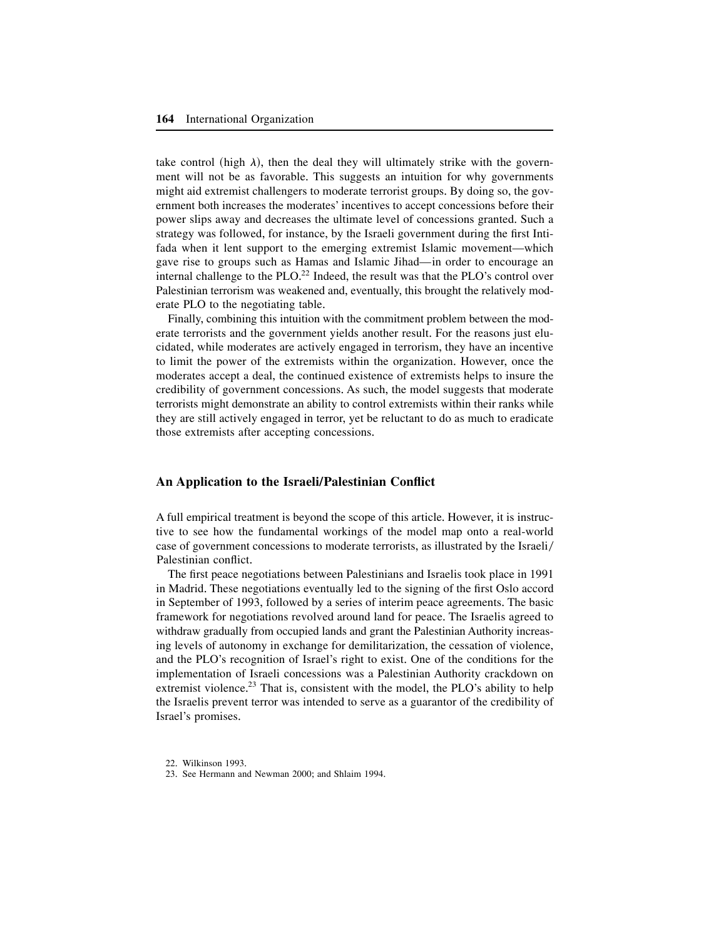take control (high  $\lambda$ ), then the deal they will ultimately strike with the government will not be as favorable. This suggests an intuition for why governments might aid extremist challengers to moderate terrorist groups. By doing so, the government both increases the moderates' incentives to accept concessions before their power slips away and decreases the ultimate level of concessions granted. Such a strategy was followed, for instance, by the Israeli government during the first Intifada when it lent support to the emerging extremist Islamic movement—which gave rise to groups such as Hamas and Islamic Jihad—in order to encourage an internal challenge to the PLO.<sup>22</sup> Indeed, the result was that the PLO's control over Palestinian terrorism was weakened and, eventually, this brought the relatively moderate PLO to the negotiating table.

Finally, combining this intuition with the commitment problem between the moderate terrorists and the government yields another result. For the reasons just elucidated, while moderates are actively engaged in terrorism, they have an incentive to limit the power of the extremists within the organization. However, once the moderates accept a deal, the continued existence of extremists helps to insure the credibility of government concessions+ As such, the model suggests that moderate terrorists might demonstrate an ability to control extremists within their ranks while they are still actively engaged in terror, yet be reluctant to do as much to eradicate those extremists after accepting concessions.

# **An Application to the Israeli/Palestinian Conflict**

A full empirical treatment is beyond the scope of this article+ However, it is instructive to see how the fundamental workings of the model map onto a real-world case of government concessions to moderate terrorists, as illustrated by the Israeli/ Palestinian conflict.

The first peace negotiations between Palestinians and Israelis took place in 1991 in Madrid. These negotiations eventually led to the signing of the first Oslo accord in September of 1993, followed by a series of interim peace agreements. The basic framework for negotiations revolved around land for peace. The Israelis agreed to withdraw gradually from occupied lands and grant the Palestinian Authority increasing levels of autonomy in exchange for demilitarization, the cessation of violence, and the PLO's recognition of Israel's right to exist. One of the conditions for the implementation of Israeli concessions was a Palestinian Authority crackdown on extremist violence.<sup>23</sup> That is, consistent with the model, the PLO's ability to help the Israelis prevent terror was intended to serve as a guarantor of the credibility of Israel's promises.

<sup>22.</sup> Wilkinson 1993.

<sup>23.</sup> See Hermann and Newman 2000; and Shlaim 1994.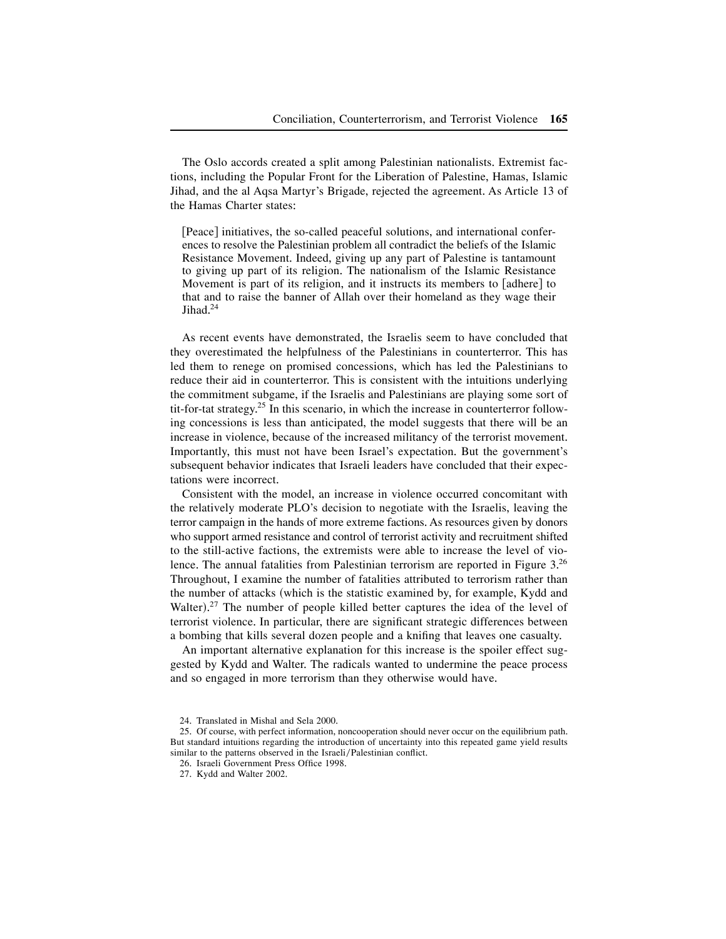The Oslo accords created a split among Palestinian nationalists. Extremist factions, including the Popular Front for the Liberation of Palestine, Hamas, Islamic Jihad, and the al Aqsa Martyr's Brigade, rejected the agreement+ As Article 13 of the Hamas Charter states:

[Peace] initiatives, the so-called peaceful solutions, and international conferences to resolve the Palestinian problem all contradict the beliefs of the Islamic Resistance Movement. Indeed, giving up any part of Palestine is tantamount to giving up part of its religion. The nationalism of the Islamic Resistance Movement is part of its religion, and it instructs its members to  $\lceil$  adhere $\rceil$  to that and to raise the banner of Allah over their homeland as they wage their Jihad. $24$ 

As recent events have demonstrated, the Israelis seem to have concluded that they overestimated the helpfulness of the Palestinians in counterterror. This has led them to renege on promised concessions, which has led the Palestinians to reduce their aid in counterterror. This is consistent with the intuitions underlying the commitment subgame, if the Israelis and Palestinians are playing some sort of tit-for-tat strategy.<sup>25</sup> In this scenario, in which the increase in counterterror following concessions is less than anticipated, the model suggests that there will be an increase in violence, because of the increased militancy of the terrorist movement. Importantly, this must not have been Israel's expectation. But the government's subsequent behavior indicates that Israeli leaders have concluded that their expectations were incorrect.

Consistent with the model, an increase in violence occurred concomitant with the relatively moderate PLO's decision to negotiate with the Israelis, leaving the terror campaign in the hands of more extreme factions+ As resources given by donors who support armed resistance and control of terrorist activity and recruitment shifted to the still-active factions, the extremists were able to increase the level of violence. The annual fatalities from Palestinian terrorism are reported in Figure  $3.^{26}$ Throughout, I examine the number of fatalities attributed to terrorism rather than the number of attacks (which is the statistic examined by, for example, Kydd and Walter).<sup>27</sup> The number of people killed better captures the idea of the level of terrorist violence. In particular, there are significant strategic differences between a bombing that kills several dozen people and a knifing that leaves one casualty.

An important alternative explanation for this increase is the spoiler effect suggested by Kydd and Walter. The radicals wanted to undermine the peace process and so engaged in more terrorism than they otherwise would have.

26. Israeli Government Press Office 1998.

<sup>24.</sup> Translated in Mishal and Sela 2000.

<sup>25.</sup> Of course, with perfect information, noncooperation should never occur on the equilibrium path. But standard intuitions regarding the introduction of uncertainty into this repeated game yield results similar to the patterns observed in the Israeli/Palestinian conflict.

<sup>27.</sup> Kydd and Walter 2002.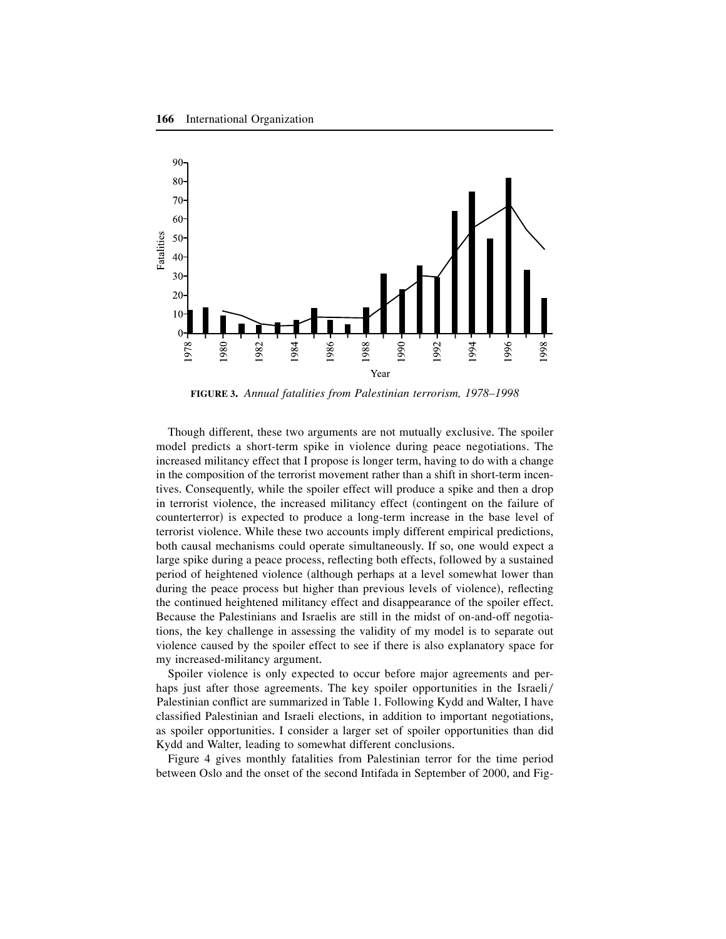

**FIGURE 3.** *Annual fatalities from Palestinian terrorism, 1978–1998*

Though different, these two arguments are not mutually exclusive. The spoiler model predicts a short-term spike in violence during peace negotiations. The increased militancy effect that I propose is longer term, having to do with a change in the composition of the terrorist movement rather than a shift in short-term incentives. Consequently, while the spoiler effect will produce a spike and then a drop in terrorist violence, the increased militancy effect (contingent on the failure of counterterror) is expected to produce a long-term increase in the base level of terrorist violence+ While these two accounts imply different empirical predictions, both causal mechanisms could operate simultaneously. If so, one would expect a large spike during a peace process, reflecting both effects, followed by a sustained period of heightened violence (although perhaps at a level somewhat lower than during the peace process but higher than previous levels of violence), reflecting the continued heightened militancy effect and disappearance of the spoiler effect. Because the Palestinians and Israelis are still in the midst of on-and-off negotiations, the key challenge in assessing the validity of my model is to separate out violence caused by the spoiler effect to see if there is also explanatory space for my increased-militancy argument.

Spoiler violence is only expected to occur before major agreements and perhaps just after those agreements. The key spoiler opportunities in the Israeli/ Palestinian conflict are summarized in Table 1. Following Kydd and Walter, I have classified Palestinian and Israeli elections, in addition to important negotiations, as spoiler opportunities. I consider a larger set of spoiler opportunities than did Kydd and Walter, leading to somewhat different conclusions.

Figure 4 gives monthly fatalities from Palestinian terror for the time period between Oslo and the onset of the second Intifada in September of 2000, and Fig-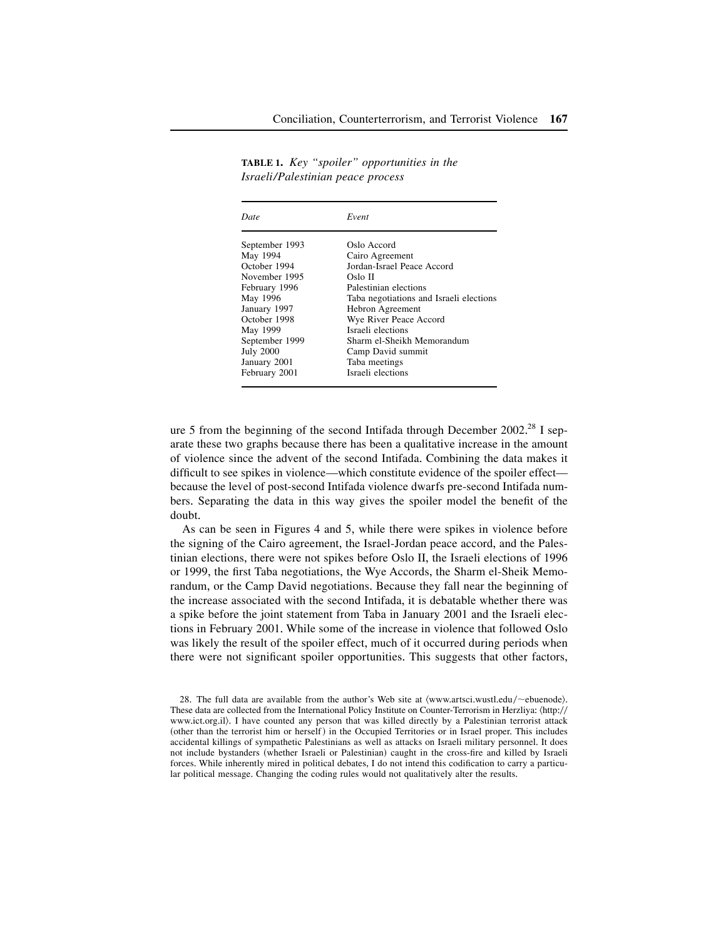| Date                                                                                                                     | Event                                                                                                                                                                                                                 |
|--------------------------------------------------------------------------------------------------------------------------|-----------------------------------------------------------------------------------------------------------------------------------------------------------------------------------------------------------------------|
| September 1993<br>May 1994<br>October 1994<br>November 1995<br>February 1996<br>May 1996<br>January 1997<br>October 1998 | Oslo Accord<br>Cairo Agreement<br>Jordan-Israel Peace Accord<br>Oslo II<br>Palestinian elections<br>Taba negotiations and Israeli elections<br><b>Hebron Agreement</b><br>Wye River Peace Accord<br>Israeli elections |
| May 1999<br>September 1999<br><b>July 2000</b><br>January 2001<br>February 2001                                          | Sharm el-Sheikh Memorandum<br>Camp David summit<br>Taba meetings<br>Israeli elections                                                                                                                                 |

**TABLE 1.** *Key "spoiler" opportunities in the Israeli/Palestinian peace process*

ure 5 from the beginning of the second Intifada through December 2002.<sup>28</sup> I separate these two graphs because there has been a qualitative increase in the amount of violence since the advent of the second Intifada+ Combining the data makes it difficult to see spikes in violence—which constitute evidence of the spoiler effect because the level of post-second Intifada violence dwarfs pre-second Intifada numbers. Separating the data in this way gives the spoiler model the benefit of the doubt.

As can be seen in Figures 4 and 5, while there were spikes in violence before the signing of the Cairo agreement, the Israel-Jordan peace accord, and the Palestinian elections, there were not spikes before Oslo II, the Israeli elections of 1996 or 1999, the first Taba negotiations, the Wye Accords, the Sharm el-Sheik Memorandum, or the Camp David negotiations. Because they fall near the beginning of the increase associated with the second Intifada, it is debatable whether there was a spike before the joint statement from Taba in January 2001 and the Israeli elections in February 2001. While some of the increase in violence that followed Oslo was likely the result of the spoiler effect, much of it occurred during periods when there were not significant spoiler opportunities. This suggests that other factors,

<sup>28.</sup> The full data are available from the author's Web site at  $\langle www.artsci.wustl.edu/~ebuencode)\rangle$ . These data are collected from the International Policy Institute on Counter-Terrorism in Herzliya:  $\langle$ http:// www.ict.org.il). I have counted any person that was killed directly by a Palestinian terrorist attack (other than the terrorist him or herself) in the Occupied Territories or in Israel proper. This includes accidental killings of sympathetic Palestinians as well as attacks on Israeli military personnel. It does not include bystanders (whether Israeli or Palestinian) caught in the cross-fire and killed by Israeli forces. While inherently mired in political debates, I do not intend this codification to carry a particular political message. Changing the coding rules would not qualitatively alter the results.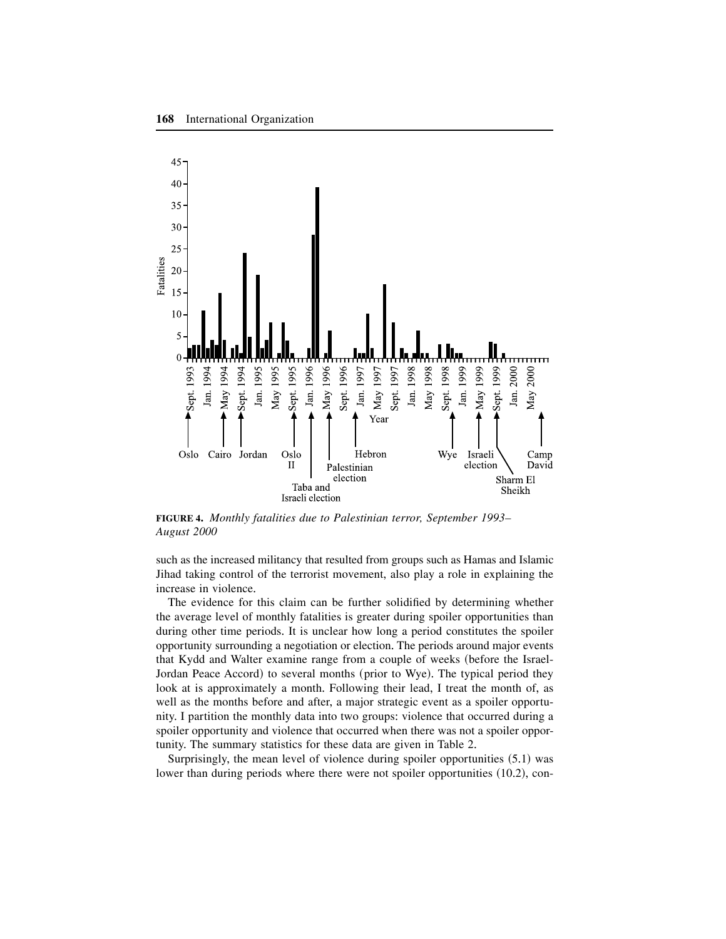

**FIGURE 4.** *Monthly fatalities due to Palestinian terror, September 1993– August 2000*

such as the increased militancy that resulted from groups such as Hamas and Islamic Jihad taking control of the terrorist movement, also play a role in explaining the increase in violence.

The evidence for this claim can be further solidified by determining whether the average level of monthly fatalities is greater during spoiler opportunities than during other time periods. It is unclear how long a period constitutes the spoiler opportunity surrounding a negotiation or election+ The periods around major events that Kydd and Walter examine range from a couple of weeks (before the Israel-Jordan Peace Accord) to several months (prior to Wye). The typical period they look at is approximately a month. Following their lead, I treat the month of, as well as the months before and after, a major strategic event as a spoiler opportunity. I partition the monthly data into two groups: violence that occurred during a spoiler opportunity and violence that occurred when there was not a spoiler opportunity. The summary statistics for these data are given in Table 2.

Surprisingly, the mean level of violence during spoiler opportunities  $(5.1)$  was lower than during periods where there were not spoiler opportunities  $(10.2)$ , con-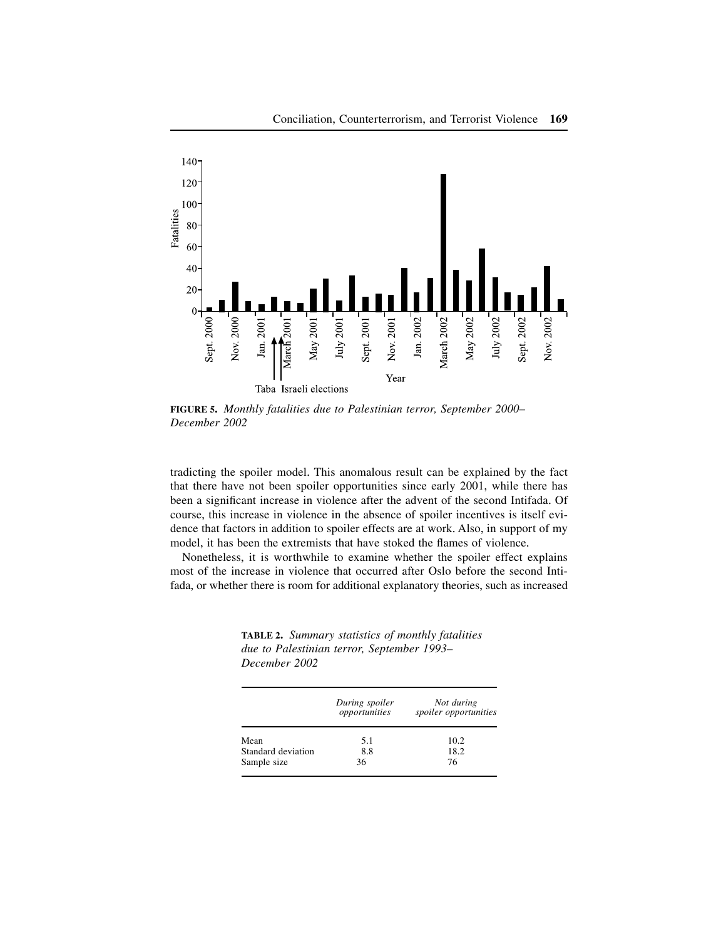

**FIGURE 5.** *Monthly fatalities due to Palestinian terror, September 2000– December 2002*

tradicting the spoiler model+ This anomalous result can be explained by the fact that there have not been spoiler opportunities since early 2001, while there has been a significant increase in violence after the advent of the second Intifada. Of course, this increase in violence in the absence of spoiler incentives is itself evidence that factors in addition to spoiler effects are at work. Also, in support of my model, it has been the extremists that have stoked the flames of violence.

Nonetheless, it is worthwhile to examine whether the spoiler effect explains most of the increase in violence that occurred after Oslo before the second Intifada, or whether there is room for additional explanatory theories, such as increased

**TABLE 2.** *Summary statistics of monthly fatalities due to Palestinian terror, September 1993– December 2002*

|                    | During spoiler<br>opportunities | Not during<br>spoiler opportunities |
|--------------------|---------------------------------|-------------------------------------|
| Mean               | 5.1                             | 10.2                                |
| Standard deviation | 8.8                             | 18.2                                |
| Sample size        | 36                              | 76                                  |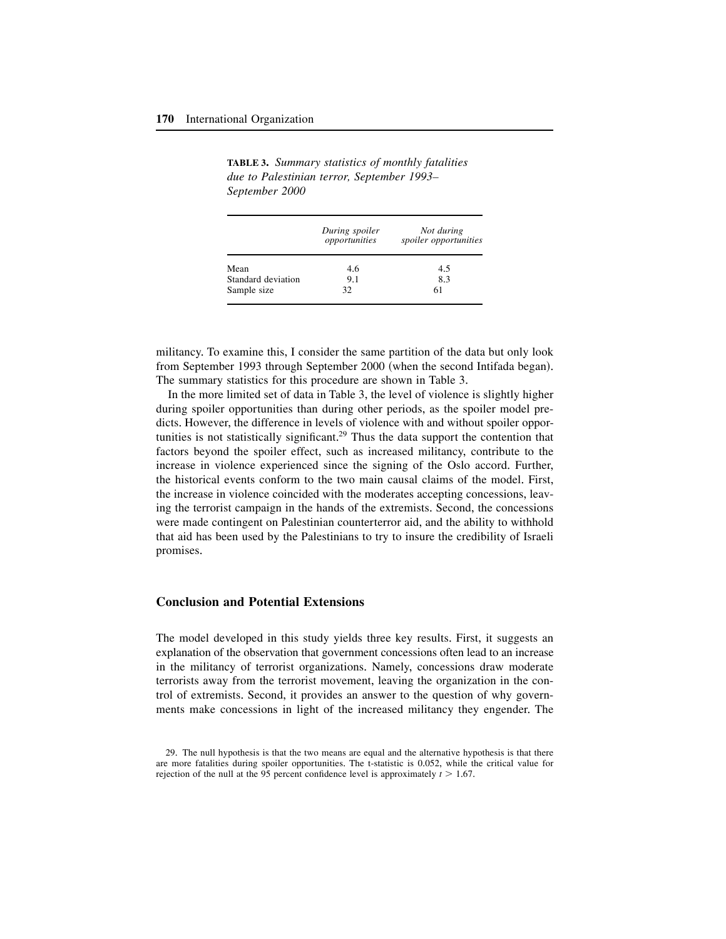|                    | During spoiler<br>opportunities | Not during<br>spoiler opportunities |
|--------------------|---------------------------------|-------------------------------------|
| Mean               | 4.6                             | 4.5                                 |
| Standard deviation | 9.1                             | 8.3                                 |
| Sample size        | 32.                             | 61                                  |

|                |                                            |  | <b>TABLE 3.</b> Summary statistics of monthly fatalities |
|----------------|--------------------------------------------|--|----------------------------------------------------------|
|                | due to Palestinian terror, September 1993– |  |                                                          |
| September 2000 |                                            |  |                                                          |

militancy. To examine this, I consider the same partition of the data but only look from September 1993 through September 2000 (when the second Intifada began). The summary statistics for this procedure are shown in Table 3.

In the more limited set of data in Table 3, the level of violence is slightly higher during spoiler opportunities than during other periods, as the spoiler model predicts. However, the difference in levels of violence with and without spoiler opportunities is not statistically significant.<sup>29</sup> Thus the data support the contention that factors beyond the spoiler effect, such as increased militancy, contribute to the increase in violence experienced since the signing of the Oslo accord. Further, the historical events conform to the two main causal claims of the model+ First, the increase in violence coincided with the moderates accepting concessions, leaving the terrorist campaign in the hands of the extremists. Second, the concessions were made contingent on Palestinian counterterror aid, and the ability to withhold that aid has been used by the Palestinians to try to insure the credibility of Israeli promises.

# **Conclusion and Potential Extensions**

The model developed in this study yields three key results. First, it suggests an explanation of the observation that government concessions often lead to an increase in the militancy of terrorist organizations. Namely, concessions draw moderate terrorists away from the terrorist movement, leaving the organization in the control of extremists. Second, it provides an answer to the question of why governments make concessions in light of the increased militancy they engender. The

<sup>29.</sup> The null hypothesis is that the two means are equal and the alternative hypothesis is that there are more fatalities during spoiler opportunities. The t-statistic is 0.052, while the critical value for rejection of the null at the 95 percent confidence level is approximately  $t > 1.67$ .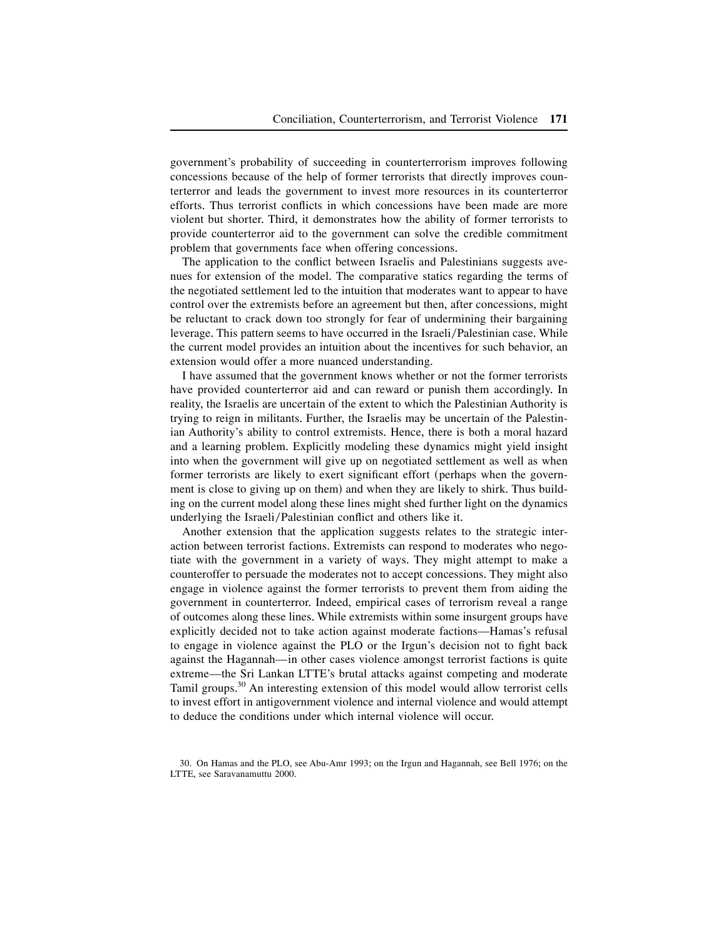government's probability of succeeding in counterterrorism improves following concessions because of the help of former terrorists that directly improves counterterror and leads the government to invest more resources in its counterterror efforts. Thus terrorist conflicts in which concessions have been made are more violent but shorter. Third, it demonstrates how the ability of former terrorists to provide counterterror aid to the government can solve the credible commitment problem that governments face when offering concessions.

The application to the conflict between Israelis and Palestinians suggests avenues for extension of the model. The comparative statics regarding the terms of the negotiated settlement led to the intuition that moderates want to appear to have control over the extremists before an agreement but then, after concessions, might be reluctant to crack down too strongly for fear of undermining their bargaining leverage. This pattern seems to have occurred in the Israeli/Palestinian case. While the current model provides an intuition about the incentives for such behavior, an extension would offer a more nuanced understanding.

I have assumed that the government knows whether or not the former terrorists have provided counterterror aid and can reward or punish them accordingly. In reality, the Israelis are uncertain of the extent to which the Palestinian Authority is trying to reign in militants. Further, the Israelis may be uncertain of the Palestinian Authority's ability to control extremists. Hence, there is both a moral hazard and a learning problem. Explicitly modeling these dynamics might yield insight into when the government will give up on negotiated settlement as well as when former terrorists are likely to exert significant effort (perhaps when the government is close to giving up on them) and when they are likely to shirk. Thus building on the current model along these lines might shed further light on the dynamics underlying the Israeli/Palestinian conflict and others like it.

Another extension that the application suggests relates to the strategic interaction between terrorist factions. Extremists can respond to moderates who negotiate with the government in a variety of ways. They might attempt to make a counteroffer to persuade the moderates not to accept concessions. They might also engage in violence against the former terrorists to prevent them from aiding the government in counterterror. Indeed, empirical cases of terrorism reveal a range of outcomes along these lines. While extremists within some insurgent groups have explicitly decided not to take action against moderate factions—Hamas's refusal to engage in violence against the PLO or the Irgun's decision not to fight back against the Hagannah—in other cases violence amongst terrorist factions is quite extreme—the Sri Lankan LTTE's brutal attacks against competing and moderate Tamil groups.<sup>30</sup> An interesting extension of this model would allow terrorist cells to invest effort in antigovernment violence and internal violence and would attempt to deduce the conditions under which internal violence will occur.

<sup>30</sup>+ On Hamas and the PLO, see Abu-Amr 1993; on the Irgun and Hagannah, see Bell 1976; on the LTTE, see Saravanamuttu 2000.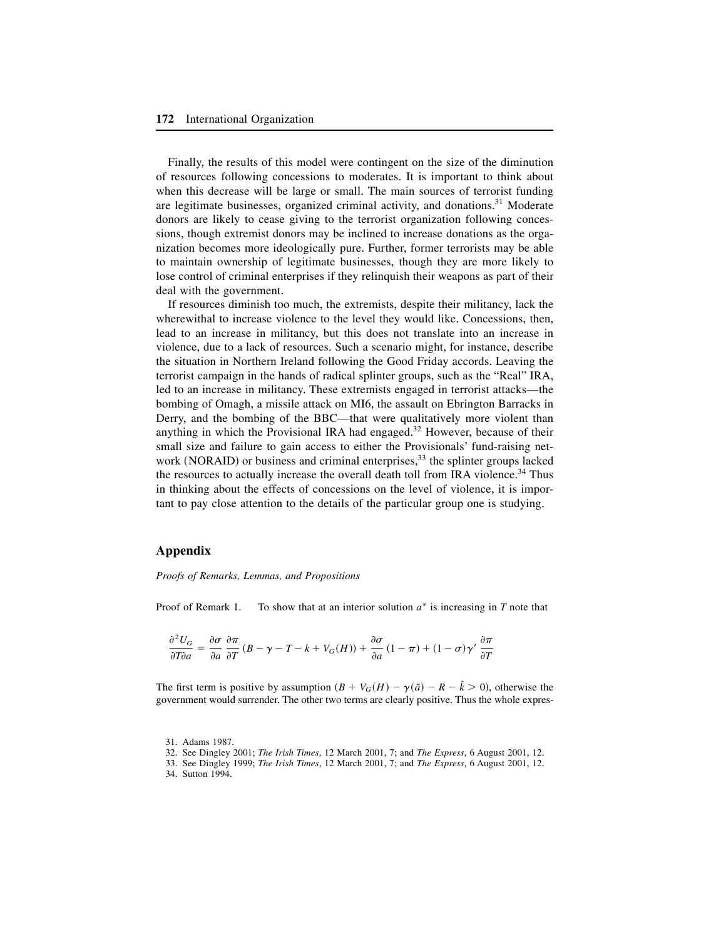Finally, the results of this model were contingent on the size of the diminution of resources following concessions to moderates+ It is important to think about when this decrease will be large or small. The main sources of terrorist funding are legitimate businesses, organized criminal activity, and donations.<sup>31</sup> Moderate donors are likely to cease giving to the terrorist organization following concessions, though extremist donors may be inclined to increase donations as the organization becomes more ideologically pure. Further, former terrorists may be able to maintain ownership of legitimate businesses, though they are more likely to lose control of criminal enterprises if they relinquish their weapons as part of their deal with the government.

If resources diminish too much, the extremists, despite their militancy, lack the wherewithal to increase violence to the level they would like. Concessions, then, lead to an increase in militancy, but this does not translate into an increase in violence, due to a lack of resources+ Such a scenario might, for instance, describe the situation in Northern Ireland following the Good Friday accords+ Leaving the terrorist campaign in the hands of radical splinter groups, such as the "Real" IRA, led to an increase in militancy. These extremists engaged in terrorist attacks—the bombing of Omagh, a missile attack on MI6, the assault on Ebrington Barracks in Derry, and the bombing of the BBC—that were qualitatively more violent than anything in which the Provisional IRA had engaged.<sup>32</sup> However, because of their small size and failure to gain access to either the Provisionals' fund-raising network (NORAID) or business and criminal enterprises, $33$  the splinter groups lacked the resources to actually increase the overall death toll from IRA violence.<sup>34</sup> Thus in thinking about the effects of concessions on the level of violence, it is important to pay close attention to the details of the particular group one is studying+

# **Appendix**

*Proofs of Remarks, Lemmas, and Propositions*

Proof of Remark 1. To show that at an interior solution  $a^*$  is increasing in *T* note that

$$
\frac{\partial^2 U_G}{\partial T \partial a} = \frac{\partial \sigma}{\partial a} \frac{\partial \pi}{\partial T} \left(B - \gamma - T - k + V_G(H) \right) + \frac{\partial \sigma}{\partial a} \left(1 - \pi \right) + \left(1 - \sigma \right) \gamma' \frac{\partial \pi}{\partial T}
$$

The first term is positive by assumption  $(B + V_G(H) - \gamma(\bar{a}) - R - k > 0)$ , otherwise the government would surrender. The other two terms are clearly positive. Thus the whole expres-

- 32+ See Dingley 2001; *The Irish Times*, 12 March 2001, 7; and *The Express*, 6 August 2001, 12+
- 33+ See Dingley 1999; *The Irish Times*, 12 March 2001, 7; and *The Express*, 6 August 2001, 12+ 34. Sutton 1994.

<sup>31.</sup> Adams 1987.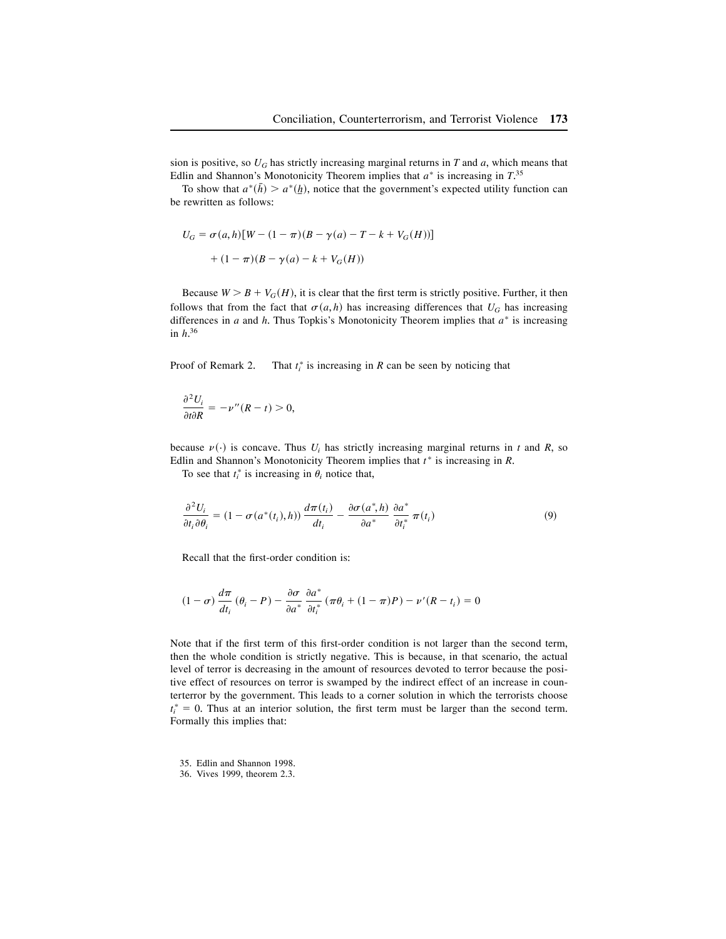sion is positive, so  $U_G$  has strictly increasing marginal returns in *T* and *a*, which means that Edlin and Shannon's Monotonicity Theorem implies that  $a^*$  is increasing in  $T^{35}$ 

To show that  $a^*(\bar{h}) > a^*(h)$ , notice that the government's expected utility function can be rewritten as follows:

$$
U_G = \sigma(a, h)[W - (1 - \pi)(B - \gamma(a) - T - k + V_G(H))]
$$
  
+ (1 - \pi)(B - \gamma(a) - k + V\_G(H))

Because  $W > B + V_G(H)$ , it is clear that the first term is strictly positive. Further, it then follows that from the fact that  $\sigma(a, h)$  has increasing differences that  $U_G$  has increasing differences in *a* and *h*. Thus Topkis's Monotonicity Theorem implies that  $a^*$  is increasing in  $h^{36}$ 

Proof of Remark 2. That  $t_i^*$  is increasing in *R* can be seen by noticing that

$$
\frac{\partial^2 U_i}{\partial t \partial R} = -\nu''(R-t) > 0,
$$

because  $\nu(\cdot)$  is concave. Thus *U<sub>i</sub>* has strictly increasing marginal returns in *t* and *R*, so Edlin and Shannon's Monotonicity Theorem implies that  $t^*$  is increasing in  $R$ .

To see that  $t_i^*$  is increasing in  $\theta_i$  notice that,

$$
\frac{\partial^2 U_i}{\partial t_i \partial \theta_i} = (1 - \sigma(a^*(t_i), h)) \frac{d\pi(t_i)}{dt_i} - \frac{\partial \sigma(a^*, h)}{\partial a^*} \frac{\partial a^*}{\partial t_i^*} \pi(t_i)
$$
(9)

Recall that the first-order condition is:

$$
(1 - \sigma) \frac{d\pi}{dt_i} (\theta_i - P) - \frac{\partial \sigma}{\partial a^*} \frac{\partial a^*}{\partial t_i^*} (\pi \theta_i + (1 - \pi)P) - \nu'(R - t_i) = 0
$$

Note that if the first term of this first-order condition is not larger than the second term, then the whole condition is strictly negative. This is because, in that scenario, the actual level of terror is decreasing in the amount of resources devoted to terror because the positive effect of resources on terror is swamped by the indirect effect of an increase in counterterror by the government. This leads to a corner solution in which the terrorists choose  $t_i^* = 0$ . Thus at an interior solution, the first term must be larger than the second term. Formally this implies that:

35. Edlin and Shannon 1998.

36. Vives 1999, theorem 2.3.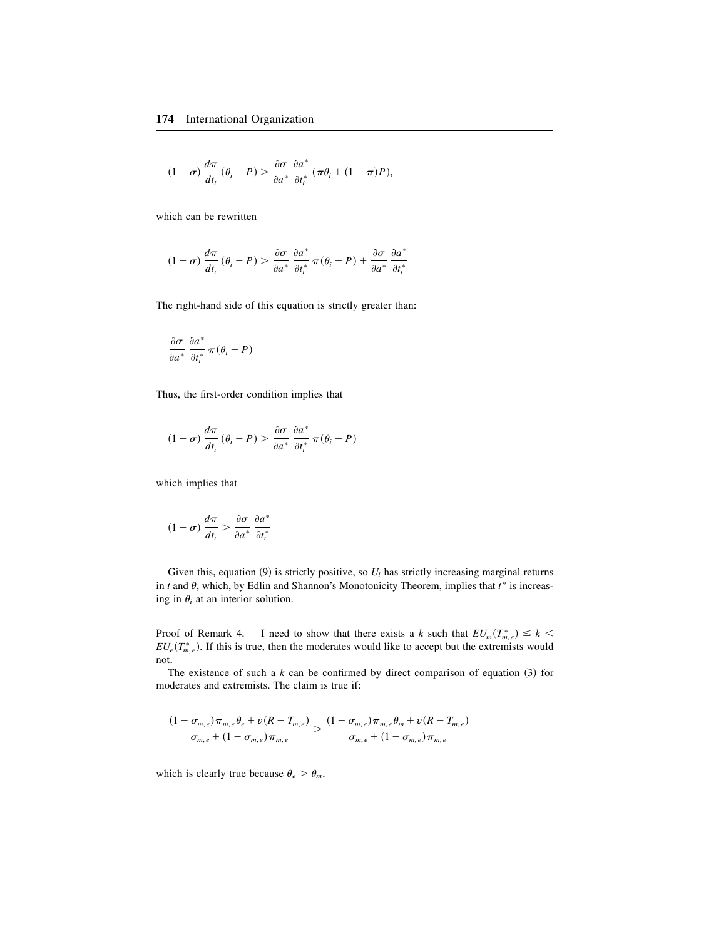$$
(1 - \sigma) \frac{d\pi}{dt_i} (\theta_i - P) > \frac{\partial \sigma}{\partial a^*} \frac{\partial a^*}{\partial t_i^*} (\pi \theta_i + (1 - \pi)P),
$$

which can be rewritten

$$
(1 - \sigma) \frac{d\pi}{dt_i} (\theta_i - P) > \frac{\partial \sigma}{\partial a^*} \frac{\partial a^*}{\partial t_i^*} \pi (\theta_i - P) + \frac{\partial \sigma}{\partial a^*} \frac{\partial a^*}{\partial t_i^*}
$$

The right-hand side of this equation is strictly greater than:

$$
\frac{\partial \sigma}{\partial a^*} \frac{\partial a^*}{\partial t_i^*} \pi (\theta_i - P)
$$

Thus, the first-order condition implies that

$$
(1 - \sigma) \frac{d\pi}{dt_i} (\theta_i - P) > \frac{\partial \sigma}{\partial a^*} \frac{\partial a^*}{\partial t_i^*} \pi (\theta_i - P)
$$

which implies that

$$
(1 - \sigma) \frac{d\pi}{dt_i} > \frac{\partial \sigma}{\partial a^*} \frac{\partial a^*}{\partial t_i^*}
$$

Given this, equation  $(9)$  is strictly positive, so  $U_i$  has strictly increasing marginal returns in  $t$  and  $\theta$ , which, by Edlin and Shannon's Monotonicity Theorem, implies that  $t^*$  is increasing in  $\theta_i$  at an interior solution.

Proof of Remark 4. I need to show that there exists a *k* such that  $EU_m(T^*_{m,e}) \leq k$  $EU_e(T_{m,e}^*)$ . If this is true, then the moderates would like to accept but the extremists would not.

The existence of such a  $k$  can be confirmed by direct comparison of equation  $(3)$  for moderates and extremists. The claim is true if:

$$
\frac{(1-\sigma_{m,e})\pi_{m,e}\theta_e + \upsilon(R-T_{m,e})}{\sigma_{m,e} + (1-\sigma_{m,e})\pi_{m,e}} > \frac{(1-\sigma_{m,e})\pi_{m,e}\theta_m + \upsilon(R-T_{m,e})}{\sigma_{m,e} + (1-\sigma_{m,e})\pi_{m,e}}
$$

which is clearly true because  $\theta_e > \theta_m$ .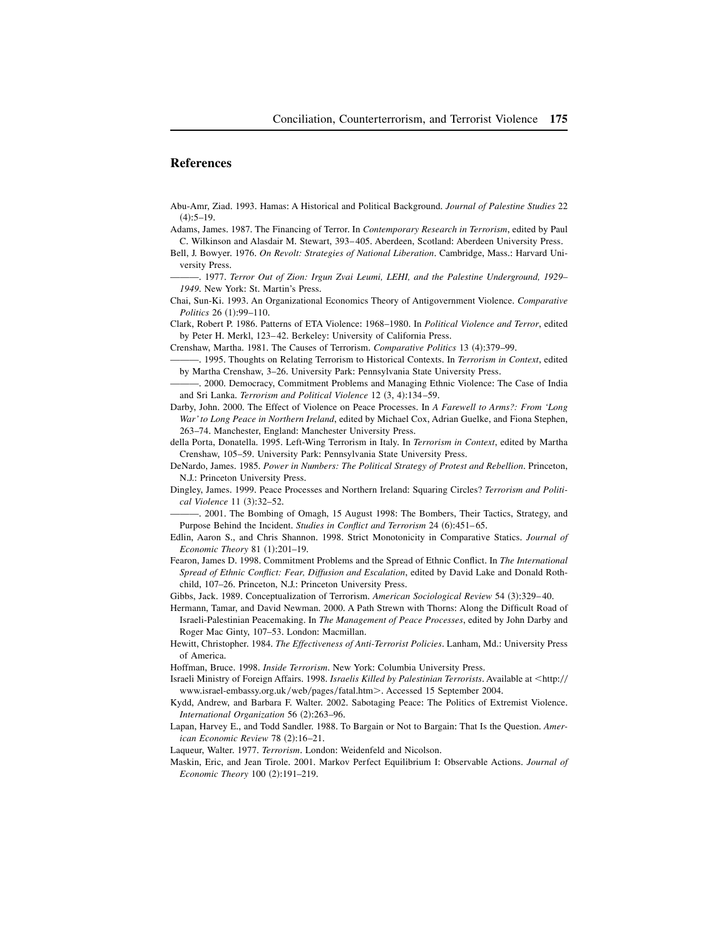# **References**

Abu-Amr, Ziad+ 1993+ Hamas: A Historical and Political Background+ *Journal of Palestine Studies* 22  $(4):5–19.$ 

Adams, James. 1987. The Financing of Terror. In *Contemporary Research in Terrorism*, edited by Paul C. Wilkinson and Alasdair M. Stewart, 393–405. Aberdeen, Scotland: Aberdeen University Press.

- Bell, J. Bowyer, 1976. *On Revolt: Strategies of National Liberation*, Cambridge, Mass.: Harvard University Press.
- ———+ 1977+ *Terror Out of Zion: Irgun Zvai Leumi, LEHI, and the Palestine Underground, 1929–* 1949. New York: St. Martin's Press.
- Chai, Sun-Ki+ 1993+ An Organizational Economics Theory of Antigovernment Violence+ *Comparative Politics* 26 (1):99-110.
- Clark, Robert P+ 1986+ Patterns of ETA Violence: 1968–1980+ In *Political Violence and Terror*, edited by Peter H, Merkl, 123–42, Berkeley: University of California Press,
- Crenshaw, Martha. 1981. The Causes of Terrorism. *Comparative Politics* 13 (4):379–99.

-. 1995. Thoughts on Relating Terrorism to Historical Contexts. In *Terrorism in Context*, edited by Martha Crenshaw, 3–26. University Park: Pennsylvania State University Press.

- —, 2000. Democracy, Commitment Problems and Managing Ethnic Violence: The Case of India and Sri Lanka. *Terrorism and Political Violence* 12 (3, 4):134–59.
- Darby, John. 2000. The Effect of Violence on Peace Processes. In *A Farewell to Arms?: From 'Long War'to Long Peace in Northern Ireland*, edited by Michael Cox, Adrian Guelke, and Fiona Stephen, 263-74. Manchester, England: Manchester University Press.
- della Porta, Donatella+ 1995+ Left-Wing Terrorism in Italy+ In *Terrorism in Context*, edited by Martha Crenshaw, 105–59. University Park: Pennsylvania State University Press.
- DeNardo, James. 1985. *Power in Numbers: The Political Strategy of Protest and Rebellion*. Princeton, N.J.: Princeton University Press.
- Dingley, James+ 1999+ Peace Processes and Northern Ireland: Squaring Circles? *Terrorism and Political Violence* 11 (3):32–52.
- -, 2001. The Bombing of Omagh, 15 August 1998: The Bombers, Their Tactics, Strategy, and Purpose Behind the Incident, *Studies in Conflict and Terrorism* 24 (6):451–65.
- Edlin, Aaron S., and Chris Shannon. 1998. Strict Monotonicity in Comparative Statics. *Journal of Economic Theory* 81 (1):201-19.
- Fearon, James D. 1998. Commitment Problems and the Spread of Ethnic Conflict. In *The International Spread of Ethnic Conflict: Fear, Diffusion and Escalation*, edited by David Lake and Donald Rothchild, 107–26. Princeton, N.J.: Princeton University Press.
- Gibbs, Jack. 1989. Conceptualization of Terrorism. *American Sociological Review* 54 (3):329–40.
- Hermann, Tamar, and David Newman. 2000. A Path Strewn with Thorns: Along the Difficult Road of Israeli-Palestinian Peacemaking+ In *The Management of Peace Processes*, edited by John Darby and Roger Mac Ginty, 107-53. London: Macmillan.
- Hewitt, Christopher. 1984. *The Effectiveness of Anti-Terrorist Policies*. Lanham, Md.: University Press of America.
- Hoffman, Bruce. 1998. *Inside Terrorism*. New York: Columbia University Press.
- Israeli Ministry of Foreign Affairs, 1998. *Israelis Killed by Palestinian Terrorists*, Available at <http:// www.israel-embassy.org.uk/web/pages/fatal.htm>. Accessed 15 September 2004.
- Kydd, Andrew, and Barbara F. Walter. 2002. Sabotaging Peace: The Politics of Extremist Violence. *International Organization* 56 (2):263-96.
- Lapan, Harvey E., and Todd Sandler. 1988. To Bargain or Not to Bargain: That Is the Question. *American Economic Review* 78 (2):16-21.
- Laqueur, Walter, 1977. *Terrorism*, London: Weidenfeld and Nicolson.
- Maskin, Eric, and Jean Tirole+ 2001+ Markov Perfect Equilibrium I: Observable Actions+ *Journal of Economic Theory* 100 (2):191-219.